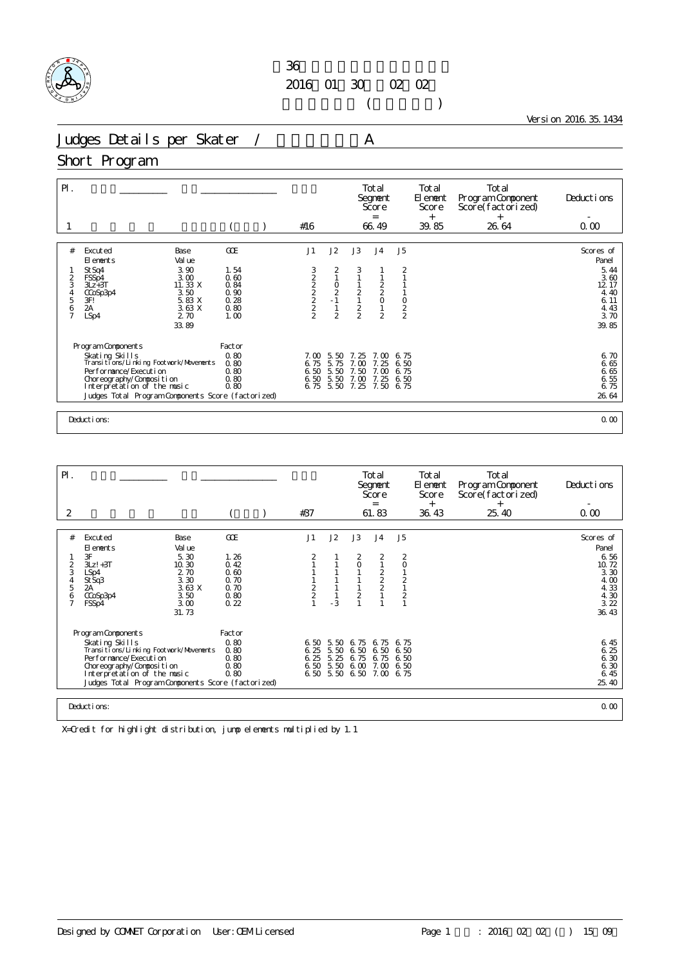

 $($ 

Version 2016.35.1434

Judges Details per Skater / A

#### Short Program

| $\mathsf{P}$ .                               |                                                                                                                                                                                                          |                                                      |                                      |                                                 |                                      | Total<br>Segnent<br>Score<br>$=$                             |                                      | Total<br>El ement<br>Score<br>$^{+}$ | Total<br>Program Component<br>Score(factorized)<br>$+$ | Deductions                                            |
|----------------------------------------------|----------------------------------------------------------------------------------------------------------------------------------------------------------------------------------------------------------|------------------------------------------------------|--------------------------------------|-------------------------------------------------|--------------------------------------|--------------------------------------------------------------|--------------------------------------|--------------------------------------|--------------------------------------------------------|-------------------------------------------------------|
|                                              |                                                                                                                                                                                                          |                                                      | #16                                  |                                                 |                                      | 66.49                                                        |                                      | 39.85                                | 26.64                                                  | 0.00                                                  |
| #                                            | Excuted<br>Base<br>Val ue<br>El ements                                                                                                                                                                   | GOE                                                  | J1                                   | J2                                              | J3                                   | J <sub>4</sub>                                               | J <sub>5</sub>                       |                                      |                                                        | Scores of<br>Panel                                    |
| $\overline{2}$<br>3<br>4<br>5<br>$rac{6}{7}$ | 3.90<br>St Sq4<br>3.00<br>FSSp4<br>11. 33 X<br>$3Lz + 3T$<br>3.50<br>CCoSp3p4<br>3F!<br>5.83 X<br>2A<br>3.63 X<br>2.70<br>LSp4                                                                           | 1.54<br>0.60<br>0.84<br>0.90<br>0.28<br>0.80<br>1.00 | 3222222                              | 2<br>$\circ$<br>$\frac{2}{1}$<br>$\overline{2}$ | 3<br>$\frac{2}{1}$<br>$\frac{2}{2}$  | $\begin{array}{c} 2 \\ 2 \\ 0 \end{array}$<br>$\overline{2}$ | 2<br>$\frac{0}{2}$                   |                                      |                                                        | 5.44<br>3.60<br>12 17<br>4.40<br>6.11<br>4.43<br>3.70 |
|                                              | 33.89<br>Program Components                                                                                                                                                                              | Factor                                               |                                      |                                                 |                                      |                                                              |                                      |                                      |                                                        | 39.85                                                 |
|                                              | Skating Skills<br>Transi ti ons/Li nki ng Footvork/Movements<br>Per for mance/Execution<br>Choreography/Composition<br>Interpretation of the music<br>Judges Total Program Components Score (factorized) | 0.80<br>0.80<br>0.80<br>0.80<br>0.80                 | 7.00<br>6.75<br>6.50<br>6.50<br>6.75 | 5.50<br>5.75<br>5.50<br>5.50<br>5.50            | 7.25<br>7.00<br>7.50<br>7.00<br>7.25 | 7. M<br>25<br>7.<br>7.00<br>7.25<br>7.50                     | 6.75<br>6.50<br>6.75<br>6.50<br>6.75 |                                      |                                                        | 6.70<br>6.65<br>6.65<br>6.55<br>6.75<br>26.64         |
|                                              | Deductions:                                                                                                                                                                                              |                                                      |                                      |                                                 |                                      |                                                              |                                      |                                      |                                                        | 0.00                                                  |

| $\mathsf{P}$ .                                                         |                                                                                                                                                                                                                              |                                                                                   |                                                             |                      |                                   |                                                     | Total<br>Segnent<br>Score<br>$=$                                                |                                                                         | <b>Total</b><br>El ement<br>Score<br>$+$ | Total<br>Program Component<br>Score(factorized)<br>$^{+}$ | Deductions                                                                           |
|------------------------------------------------------------------------|------------------------------------------------------------------------------------------------------------------------------------------------------------------------------------------------------------------------------|-----------------------------------------------------------------------------------|-------------------------------------------------------------|----------------------|-----------------------------------|-----------------------------------------------------|---------------------------------------------------------------------------------|-------------------------------------------------------------------------|------------------------------------------|-----------------------------------------------------------|--------------------------------------------------------------------------------------|
| 2                                                                      |                                                                                                                                                                                                                              |                                                                                   |                                                             | #37                  |                                   |                                                     | 61.83                                                                           |                                                                         | 36.43                                    | 25.40                                                     | 0.00                                                                                 |
| #<br>$\overline{a}$<br>3<br>$\overline{4}$<br>5<br>6<br>$\overline{7}$ | Excuted<br>El ements<br>3F<br>$3Lz! + 3T$<br>LSp4<br>St Sq3<br>2A<br>CCoSp3p4<br>FSSp4                                                                                                                                       | Base<br>Val ue<br>5.30<br>10.30<br>2.70<br>3.30<br>3.63X<br>3.50<br>3.00<br>31.73 | GOE<br>1.26<br>0.42<br>0.60<br>0.70<br>0.70<br>0.80<br>0.22 | J1<br>$\frac{2}{2}$  | J2<br>$-3$                        | J3<br>$\frac{2}{0}$<br>$\overline{c}$               | J <sub>4</sub><br>$\frac{2}{1}$<br>$\begin{array}{c}\n2 \\ 2 \\ 2\n\end{array}$ | J5<br>$\frac{2}{0}$<br>$\overline{2}$<br>$\mathbf{1}$<br>$\overline{2}$ |                                          |                                                           | Scores of<br>Panel<br>6.56<br>10.72<br>3.30<br>4.00<br>4.33<br>4.30<br>3.22<br>36.43 |
|                                                                        | Program Components<br>Skating Skills<br>Transi ti ons/Li nki ng Footwork/Movements<br>Performance/Execution<br>Choreography/Composition<br>Interpretation of the music<br>Judges Total Program Components Score (factorized) |                                                                                   | Factor<br>0.80<br>0.80<br>0.80<br>0.80<br>0.80              | 6.25<br>6.25<br>6.50 | 6.50 5.50<br>5.50<br>5.25<br>5.50 | 6.75<br>6.50<br>6.75<br>6.00<br>6.50 5.50 6.50 7.00 | 6.75<br>6.50<br>6.75<br>7.00                                                    | 6.75<br>6.50<br>6.50<br>6.50<br>6.75                                    |                                          |                                                           | 6.45<br>6.25<br>6.30<br>6.30<br>6.45<br>25.40                                        |
|                                                                        | Deductions:                                                                                                                                                                                                                  |                                                                                   |                                                             |                      |                                   |                                                     |                                                                                 |                                                                         |                                          |                                                           | 0.00                                                                                 |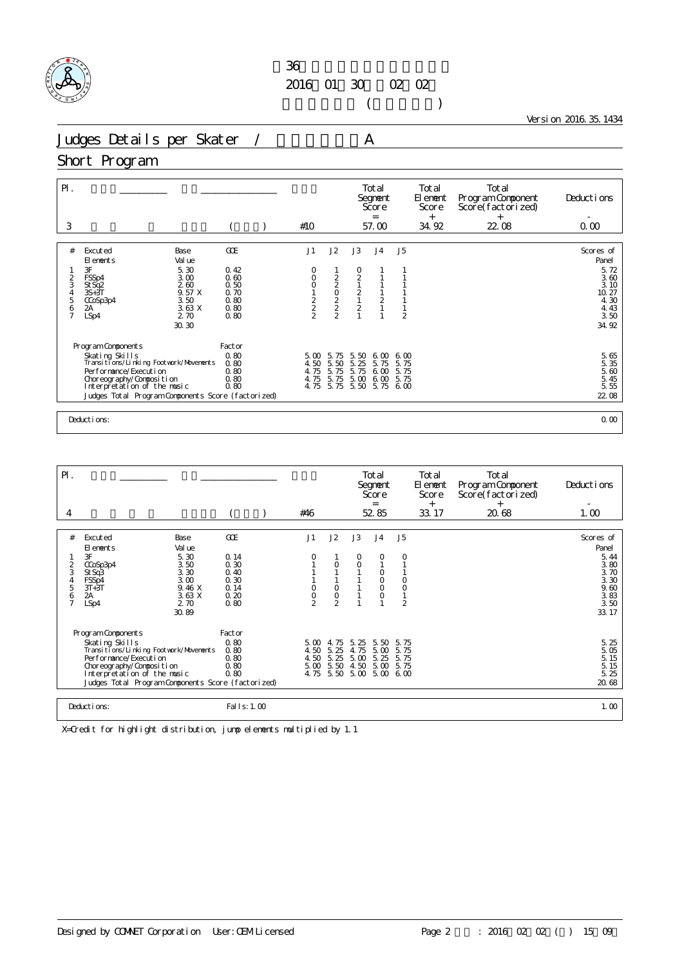

 $($ 

Version 2016.35.1434

Judges Details per Skater / A

#### Short Program

| $\mathsf{P}$ .                                |                                                                                                                                                                                                                          |                                                             |                                                     |                                      |                                                                          | Total<br>Segnent<br>Score<br>$=$                             |                                     | Total<br>El ement<br>Score<br>$^{+}$ | Total<br>Program Component<br>Score(factorized)<br>$^{+}$ | Deductions                                                                           |
|-----------------------------------------------|--------------------------------------------------------------------------------------------------------------------------------------------------------------------------------------------------------------------------|-------------------------------------------------------------|-----------------------------------------------------|--------------------------------------|--------------------------------------------------------------------------|--------------------------------------------------------------|-------------------------------------|--------------------------------------|-----------------------------------------------------------|--------------------------------------------------------------------------------------|
| 3                                             |                                                                                                                                                                                                                          |                                                             | #10                                                 |                                      |                                                                          | 57.00                                                        |                                     | 34.92                                | 22.08                                                     | 0.00                                                                                 |
| #<br>$\frac{2}{3}$<br>4<br>5<br>$\frac{6}{7}$ | Excuted<br>Base<br>Val ue<br>El ements<br>3F<br>5.30<br>FSSp4<br>3.00<br>260<br>St Sq2<br>9.57 X<br>$3S+3T$<br>3.50<br>CCoSp3p4<br>3.63 X<br>2A<br>2.70<br>LSp4<br>30.30                                                 | GOE<br>0.42<br>0.60<br>0.50<br>0.70<br>0.80<br>0.80<br>0.80 | J1<br>O<br>0<br>O<br>$\frac{1}{2}$<br>$\frac{2}{2}$ | J2<br>2020222                        | J3<br>0<br>$\frac{2}{1}$<br>$\begin{array}{c}\n2 \\ 1 \\ 2\n\end{array}$ | J <sub>4</sub><br>$\begin{array}{c} 1 \\ 2 \\ 1 \end{array}$ | J <sub>5</sub><br>$\overline{2}$    |                                      |                                                           | Scores of<br>Panel<br>5.72<br>3.60<br>3.10<br>10.27<br>4.30<br>4.43<br>3.50<br>34.92 |
|                                               | Program Components<br>Skating Skills<br>Transitions/Linking Footwork/Movements<br>Performance/Execution<br>Choreography/Composition<br>Interpretation of the music<br>Judges Total Program Components Score (factorized) | Factor<br>0.80<br>0.80<br>0.80<br>0.80<br>0.80              | 5.00<br>4.50<br>4.75<br>4.75<br>4.75                | 5.75<br>5.50<br>5.75<br>5.75<br>5.75 | 5.50<br>5.25<br>5.75<br>5.00<br>5.50                                     | 6.00<br>5.75<br>6.00<br>6.00<br>5.75                         | 600<br>5.75<br>5.75<br>5.75<br>6,00 |                                      |                                                           | $\frac{5}{5} \frac{65}{35}$<br>5.60<br>5.45<br>5.55<br>22 08                         |
|                                               | Deductions:                                                                                                                                                                                                              |                                                             |                                                     |                                      |                                                                          |                                                              |                                     |                                      |                                                           | 0.00                                                                                 |

| $\mathsf{P}$ .      |                                                              |                      |               |                               |              | Total<br>Segnent<br>Score<br>$=$ |                    | Total<br>El enent<br>Score<br>$^{+}$ | Total<br>Program Component<br>Score(factorized)<br>$^{+}$ | Deductions                                        |
|---------------------|--------------------------------------------------------------|----------------------|---------------|-------------------------------|--------------|----------------------------------|--------------------|--------------------------------------|-----------------------------------------------------------|---------------------------------------------------|
| 4                   |                                                              |                      | #46           |                               |              | 52.85                            |                    | 33.17                                | 20.68                                                     | 1.00                                              |
|                     |                                                              |                      |               |                               |              |                                  |                    |                                      |                                                           |                                                   |
| #                   | Excuted<br>Base<br>Val ue<br>El ements                       | GOE                  | J1            | J2                            | J3           | J <sub>4</sub>                   | J <sub>5</sub>     |                                      |                                                           | Scores of<br>Panel                                |
| $\frac{2}{3}$       | 3F<br>5.30<br>3.50<br>CCoSp3p4<br>3.30<br>St Sq3             | 0.14<br>0.30<br>0.40 |               | $\circ$                       | 0<br>0       | O<br>0                           | 0                  |                                      |                                                           | $\frac{5}{3}$ $\frac{44}{30}$<br>$\frac{3}{3}$ 70 |
| 4<br>5              | 3.00<br>FSSp4<br>9.46 X<br>$3T+3T$                           | 0.30<br>0.14         | O             | $\circ$                       |              | 0<br>$\circ$                     | $\circ$<br>$\circ$ |                                      |                                                           | 3.30<br>9.60                                      |
| 6<br>$\overline{7}$ | 3.63 X<br>2A<br>2.70<br>LSp4                                 | 0.20<br>0.80         | $\frac{0}{2}$ | $\mathsf O$<br>$\mathfrak{D}$ |              | $\circ$                          | $\overline{2}$     |                                      |                                                           | 3.83<br>3.50                                      |
|                     | 30.89                                                        |                      |               |                               |              |                                  |                    |                                      |                                                           | 33.17                                             |
|                     | Program Components                                           | Factor               |               |                               |              |                                  |                    |                                      |                                                           |                                                   |
|                     | Skating Skills<br>Transi ti ons/Li nki ng Footvork/Movements | 0.80<br>0.80         | 5.00<br>4.50  | 4.75<br>5.25                  | 5.25<br>4.75 | 5.50<br>5.00                     | 5.75<br>5.75       |                                      |                                                           | 5.25<br>5.05                                      |
|                     | Per for mance/Execution                                      | 0.80                 | 4.50          | 5.25                          | 5.00         | 5.25                             | 5.75               |                                      |                                                           | 5.15                                              |
|                     | Choreography/Composition<br>Interpretation of the music      | 0.80<br>0.80         | 5.00<br>4.75  | 5.50<br>5.50                  | 4.50<br>5.00 | 5.00<br>5.00                     | 5.75<br>6.00       |                                      |                                                           | 5.15<br>5.25                                      |
|                     | Judges Total Program Components Score (factorized)           |                      |               |                               |              |                                  |                    |                                      |                                                           | 20.68                                             |
|                     |                                                              |                      |               |                               |              |                                  |                    |                                      |                                                           |                                                   |
|                     | Deductions:                                                  | Fal I s: 1.00        |               |                               |              |                                  |                    |                                      |                                                           | 1.00                                              |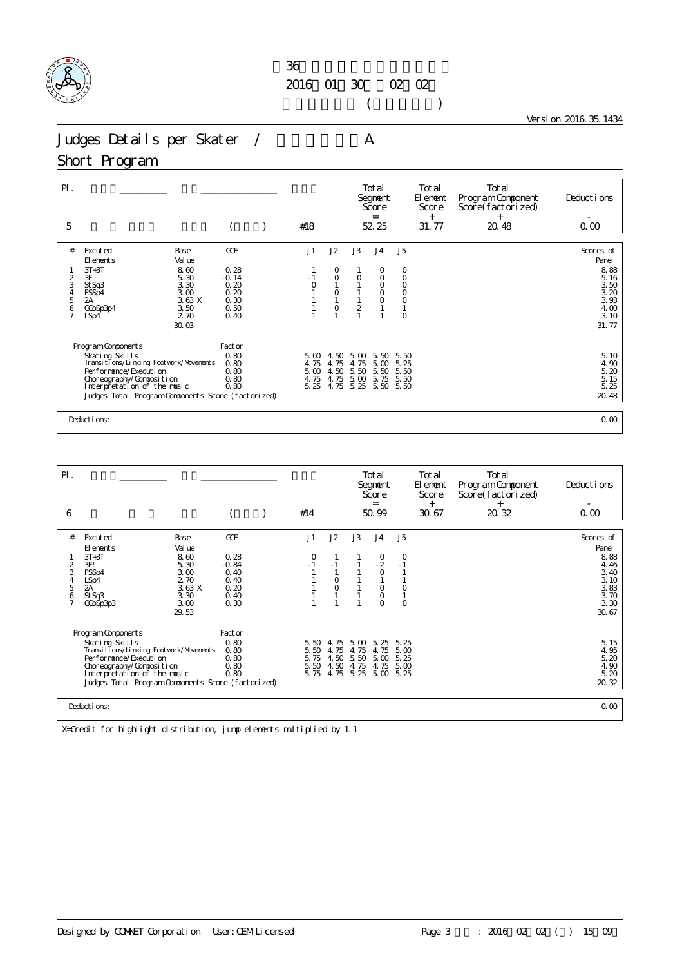

 $($ 

Version 2016.35.1434

Judges Details per Skater / A

#### Short Program

| $P$ .<br>5                                          |                                                                                                                                                                                                                                   |                                                                       |  | #18                                  |                                                                             |                                      | Total<br>Segnent<br>Score<br>$=$<br>52.25                 |                                                                                   | Total<br>El ement<br>Score<br>$+$<br>31.77 | Total<br>Program Component<br>Score(factorized)<br>$^{+}$<br>20.48 | Deductions<br>0.00                                                         |  |
|-----------------------------------------------------|-----------------------------------------------------------------------------------------------------------------------------------------------------------------------------------------------------------------------------------|-----------------------------------------------------------------------|--|--------------------------------------|-----------------------------------------------------------------------------|--------------------------------------|-----------------------------------------------------------|-----------------------------------------------------------------------------------|--------------------------------------------|--------------------------------------------------------------------|----------------------------------------------------------------------------|--|
|                                                     |                                                                                                                                                                                                                                   |                                                                       |  |                                      |                                                                             |                                      |                                                           |                                                                                   |                                            |                                                                    |                                                                            |  |
| #<br>$\frac{2}{3}$<br>4<br>5<br>6<br>$\overline{7}$ | Excuted<br><b>Base</b><br>Val ue<br>El ements<br>$3T+3T$<br>8.60<br>3F<br>5.30<br>3.30<br>St Sq3<br>3.00<br>FSSp4<br>3.63X<br>2A<br>3.50<br>CCoSp3p4<br>2.70<br>LSp4                                                              | <b>GCE</b><br>0.28<br>$-0.14$<br>0.20<br>0.20<br>0.30<br>0.50<br>0.40 |  | J1<br>$\circ$                        | J2<br>O<br>$\circ$<br>$\begin{smallmatrix}0\\1\end{smallmatrix}$<br>$\circ$ | J3<br>0<br>$\overline{2}$            | J <sub>4</sub><br>0<br>$\circ$<br>O<br>$_{\rm O}^{\rm O}$ | J <sub>5</sub><br>0<br>$\circ$<br>$\circ$<br>$\circ$<br>$\overline{O}$<br>$\circ$ |                                            |                                                                    | Scores of<br>Panel<br>8.88<br>5.16<br>3.50<br>3.20<br>3.93<br>4.00<br>3.10 |  |
|                                                     | 30.03<br>Program Components<br>Skating Skills<br>Transitions/Linking Footvork/Movements<br>Performance/Execution<br>Choreography/Composition<br>Interpretation of the music<br>Judges Total Program Components Score (factorized) | Factor<br>0.80<br>0.80<br>0.80<br>0.80<br>0.80                        |  | 5.00<br>4.75<br>5.00<br>4.75<br>5.25 | 4.50<br>4.75<br>4.50<br>4.75<br>4.75                                        | 5.00<br>4.75<br>5.50<br>5.00<br>5.25 | 5.50<br>5.00<br>5.50<br>5.75<br>5.50                      | 5.50<br>5.25<br>5.50<br>5.50<br>5.50                                              |                                            |                                                                    | 31.77<br>5.10<br>4.90<br>5.20<br>5.15<br>5.25<br>20.48                     |  |
|                                                     | Deductions:<br>0.00                                                                                                                                                                                                               |                                                                       |  |                                      |                                                                             |                                      |                                                           |                                                                                   |                                            |                                                                    |                                                                            |  |

| $\mathsf{P}$ .                                            |                                                                                                                                                                                                                              |                                                                                  |                                                                |                              |                                         |                                                | Total<br>Segnent<br>Score<br>$=$                                               |                                 | Total<br>El enent<br>Score<br>$^{+}$ | Total<br>Program Component<br>Score(factorized)<br>$^{+}$ | Deductions                                                                              |
|-----------------------------------------------------------|------------------------------------------------------------------------------------------------------------------------------------------------------------------------------------------------------------------------------|----------------------------------------------------------------------------------|----------------------------------------------------------------|------------------------------|-----------------------------------------|------------------------------------------------|--------------------------------------------------------------------------------|---------------------------------|--------------------------------------|-----------------------------------------------------------|-----------------------------------------------------------------------------------------|
| 6                                                         |                                                                                                                                                                                                                              |                                                                                  |                                                                | #14                          |                                         |                                                | 50.99                                                                          |                                 | 30.67                                | 20.32                                                     | 0.00                                                                                    |
| #<br>$\overline{2}$<br>3<br>4<br>5<br>6<br>$\overline{7}$ | Excuted<br>El ements<br>$3T+3T$<br>3F!<br>FSSp4<br>LSp4<br>2A<br>St Sq3<br>CCoSp3p3                                                                                                                                          | Base<br>Val ue<br>8.60<br>5.30<br>3.00<br>2.70<br>3.63X<br>3.30<br>3.00<br>29.53 | GOE<br>0.28<br>$-0.84$<br>0.40<br>0.40<br>0.20<br>0.40<br>0.30 | J1<br>O                      | J2<br>$-1$<br>$\circ$<br>$\overline{O}$ | J3<br>$-1$                                     | J <sub>4</sub><br>$^{0}_{-2}$<br>$\circ$<br>$\circ$<br>$\mathsf O$<br>$\Omega$ | J5<br>0<br>$-1$<br>O<br>$\circ$ |                                      |                                                           | Scores of<br>Panel<br>8.88<br>4.46<br>3.40<br>3.10<br>$3.83$<br>$3.70$<br>3.30<br>30.67 |
|                                                           | Program Components<br>Skating Skills<br>Transi ti ons/Li nki ng Footvork/Movements<br>Performance/Execution<br>Choreography/Composition<br>Interpretation of the music<br>Judges Total Program Components Score (factorized) |                                                                                  | Factor<br>0.80<br>0.80<br>0.80<br>0.80<br>0.80                 | 5.50<br>5.50<br>5.75<br>5.50 | 4.75<br>4.75<br>4.50<br>4.50            | 5.00<br>4.75<br>5.50<br>4.75<br>5.75 4.75 5.25 | 5.25<br>4.75<br>5.00<br>4.75<br>5.00 5.25                                      | 5.25<br>5.00<br>5.25<br>5.00    |                                      |                                                           | 5.15<br>4.95<br>5.20<br>4.90<br>5.20<br>20.32                                           |
|                                                           | Deductions:                                                                                                                                                                                                                  |                                                                                  |                                                                |                              |                                         |                                                |                                                                                |                                 |                                      |                                                           | 0.00                                                                                    |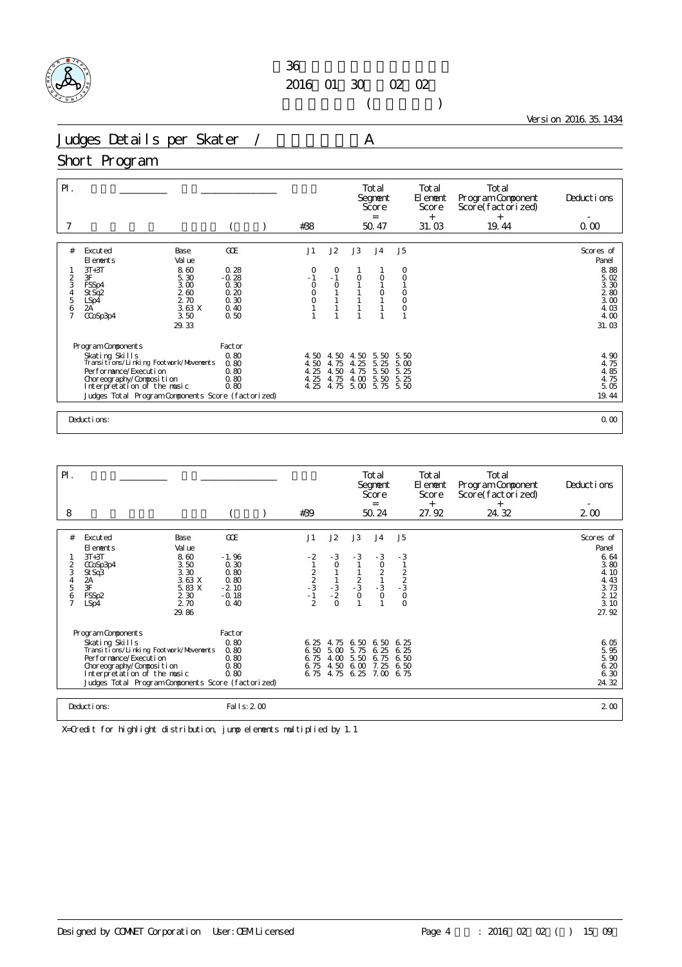

 $($ 

Version 2016.35.1434

Judges Details per Skater / A

#### Short Program

| $\mathsf{P}$ .                                                              |                                                                                                                                                                                                                                |                                                                | #38                                                  |                                      |                                                              | Total<br>Segnent<br>Score<br>$=$<br>50.47 |                                                     | Total<br>El ement<br>Score<br>$^{+}$<br>31.03 | Total<br>Program Component<br>Score(factorized)<br>$+$<br>19.44 | Deductions<br>0.00                                                                 |
|-----------------------------------------------------------------------------|--------------------------------------------------------------------------------------------------------------------------------------------------------------------------------------------------------------------------------|----------------------------------------------------------------|------------------------------------------------------|--------------------------------------|--------------------------------------------------------------|-------------------------------------------|-----------------------------------------------------|-----------------------------------------------|-----------------------------------------------------------------|------------------------------------------------------------------------------------|
| #<br>2<br>3<br>$\begin{array}{c} 4 \\ 5 \end{array}$<br>6<br>$\overline{7}$ | Excuted<br>Base<br>Val ue<br>El ements<br>$3T+3T$<br>8.60<br>3F<br>5.30<br>3.00<br>FSSp4<br>260<br>St Sq <sub>2</sub><br>2.70<br>LSp4<br>2A<br>3.63X<br>3.50<br>CCoSp3p4<br>29.33                                              | GOE<br>0.28<br>$-0.28$<br>0.30<br>0.20<br>0.30<br>0.40<br>0.50 | J1<br>0<br>$-1$<br>$\circ$<br>$\mathbf 0$<br>$\circ$ | J2<br>0<br>$-1$<br>$\circ$           | J3<br>$\circ$                                                | J <sub>4</sub><br>$\circ$                 | J5<br>O<br>$\circ$<br>$\circ$<br>$\circ$<br>$\circ$ |                                               |                                                                 | Scores of<br>Panel<br>8.88<br>5.02<br>3.30<br>280<br>3.00<br>4.03<br>4.00<br>31.03 |
|                                                                             | Program Components<br>Skating Skills<br>Transi ti ons/Li nki ng Footvork/Movements<br>Per for mance/Execution<br>Choreography/Composition<br>Interpretation of the music<br>Judges Total Program Components Score (factorized) | Factor<br>0.80<br>0.80<br>0.80<br>0.80<br>0.80                 | 4.50<br>4.50<br>4.25<br>4.25<br>4.25                 | 4.50<br>4.75<br>4.50<br>4.75<br>4.75 | 50<br>4.<br>25<br>$\overline{4}$<br>75<br>4.<br>4.00<br>5.00 | 5.50<br>5.25<br>5.50<br>5.50<br>5.75 5.50 | 5.50<br>5.00<br>5.25<br>5.25                        |                                               |                                                                 | 4.90<br>4.75<br>4.85<br>4.75<br>5.05<br>19.44                                      |
|                                                                             | Deductions:                                                                                                                                                                                                                    |                                                                |                                                      |                                      |                                                              |                                           |                                                     |                                               |                                                                 | 0.00                                                                               |

| $\mathsf{P}$ .                         |                                                                                                                                                                                                          |                                          |                                            |                                       |                                      |                                      | Total<br>Segnent<br>Score<br>$=$         |                                      | Total<br>El ement<br>Score<br>$^{+}$ | Total<br>Program Component<br>Score(factorized)<br>$^{+}$ | Deductions                                                              |
|----------------------------------------|----------------------------------------------------------------------------------------------------------------------------------------------------------------------------------------------------------|------------------------------------------|--------------------------------------------|---------------------------------------|--------------------------------------|--------------------------------------|------------------------------------------|--------------------------------------|--------------------------------------|-----------------------------------------------------------|-------------------------------------------------------------------------|
| 8                                      |                                                                                                                                                                                                          |                                          |                                            | #39                                   |                                      |                                      | 50.24                                    |                                      | 27.92                                | 24.32                                                     | $2\omega$                                                               |
|                                        |                                                                                                                                                                                                          |                                          |                                            |                                       |                                      |                                      |                                          |                                      |                                      |                                                           |                                                                         |
| #                                      | Excuted<br>El ements                                                                                                                                                                                     | Base<br>Val ue                           | COE                                        | J1                                    | J2                                   | J3                                   | J <sub>4</sub>                           | J <sub>5</sub>                       |                                      |                                                           | Scores of<br>Panel                                                      |
| $\overline{\mathbf{c}}$<br>3<br>4<br>5 | $3T+3T$<br>CCoSp3p4<br>St Sq3<br>$\frac{2A}{3F}$                                                                                                                                                         | 8.60<br>3.50<br>3.30<br>3.63 X<br>5.83 X | $-1.96$<br>0.30<br>0.80<br>0.80<br>$-2.10$ | $\frac{-2}{1}$<br>$2$<br>$-3$<br>$-1$ | $-3$<br>$\circ$<br>$-3$<br>$-2$      | $-3$<br>$\frac{2}{3}$                | $-3$<br>$\circ$<br>$\frac{2}{1}$<br>$-3$ | $-3$<br>$\frac{2}{2}$<br>$-3$<br>O   |                                      |                                                           | $\begin{array}{c} 6 & 64 \\ 3 & 80 \end{array}$<br>4.10<br>4.43<br>3.73 |
| 6<br>$\overline{7}$                    | FSSp2<br>LSp4                                                                                                                                                                                            | 2 3 0<br>2.70<br>29.86                   | $-0.18$<br>0.40                            | $\mathfrak{D}$                        | $\Omega$                             |                                      | $\circ$                                  | $\Omega$                             |                                      |                                                           | 2 1 2<br>3.10<br>27.92                                                  |
|                                        | Program Components                                                                                                                                                                                       |                                          | Factor                                     |                                       |                                      |                                      |                                          |                                      |                                      |                                                           |                                                                         |
|                                        | Skating Skills<br>Transi ti ons/Li nki ng Footwork/Movements<br>Per for mance/Execution<br>Choreography/Composition<br>Interpretation of the music<br>Judges Total Program Components Score (factorized) |                                          | 0.80<br>0.80<br>0.80<br>0.80<br>0.80       | 6.25<br>6.50<br>6.75<br>6.75<br>6.75  | 4.75<br>5.00<br>4.00<br>4.50<br>4.75 | 6.50<br>5.75<br>5.50<br>6.00<br>6.25 | 6.50<br>6.25<br>6.75<br>7.25<br>7.00     | 6.25<br>6.25<br>6.50<br>6.50<br>6.75 |                                      |                                                           | 6.05<br>5.95<br>5.90<br>6.20<br>6.30<br>24.32                           |
|                                        | Deductions:                                                                                                                                                                                              |                                          | Fal I s: 2 00                              |                                       |                                      |                                      |                                          |                                      |                                      |                                                           | 2 <sub>0</sub>                                                          |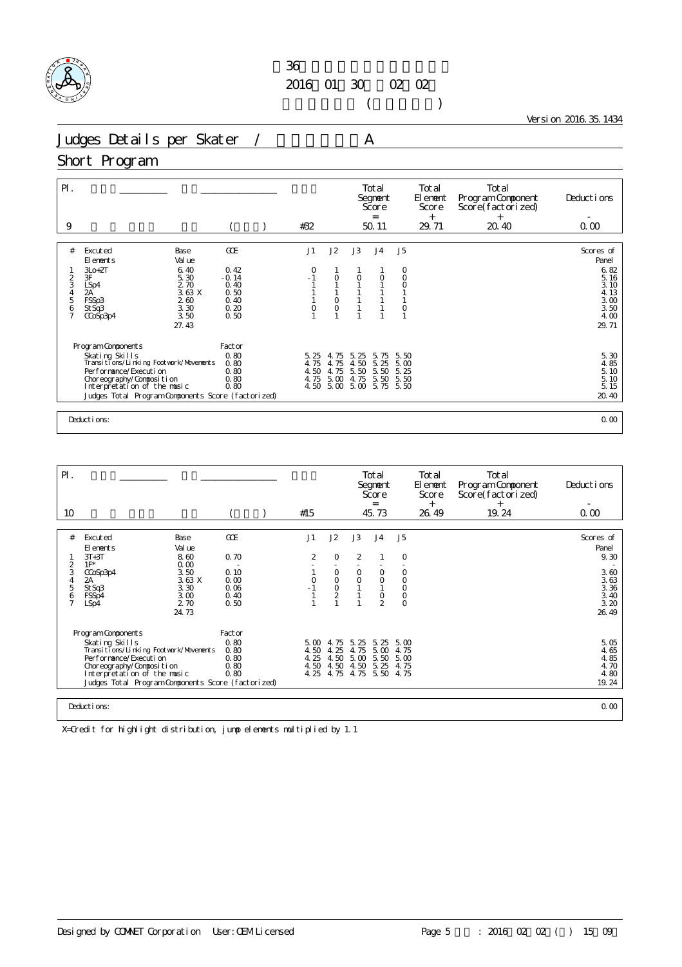

 $($ 

Version 2016.35.1434

Judges Details per Skater / A

#### Short Program

| $\mathsf{P}$ .               |                                                                                                                                                                                                                              |                                                       |  |                                      |                                      |                                           | Total<br>Segnent<br>Score<br>$=$         |                                      | Total<br>El ement<br>Score<br>$^{+}$ | Total<br>Program Component<br>Score(factorized)<br>$^{+}$ | Deductions                                                 |
|------------------------------|------------------------------------------------------------------------------------------------------------------------------------------------------------------------------------------------------------------------------|-------------------------------------------------------|--|--------------------------------------|--------------------------------------|-------------------------------------------|------------------------------------------|--------------------------------------|--------------------------------------|-----------------------------------------------------------|------------------------------------------------------------|
| 9                            |                                                                                                                                                                                                                              |                                                       |  | #32                                  |                                      |                                           | 50.11                                    |                                      | 29.71                                | 20.40                                                     | 0.00                                                       |
| #<br>$\frac{2}{3}$<br>4<br>5 | Excuted<br>Base<br>Val ue<br>El ements<br>$3L0+2T$<br>6.40<br>3F<br>5.30<br>2.70<br>LSp4<br>2A'<br>3.63 X<br>FSSp3<br>260                                                                                                    | <b>GCE</b><br>0.42<br>$-0.14$<br>0.40<br>0.50<br>0.40 |  | J1<br>O<br>$-1$                      | J2<br>$\circ$<br>$\circ$             | J3<br>$\circ$                             | J <sub>4</sub><br>0                      | J <sub>5</sub><br>0<br>$\circ$       |                                      |                                                           | Scores of<br>Panel<br>6.82<br>5.16<br>3.10<br>4.13<br>3.00 |
| 6<br>$\overline{7}$          | 3.30<br>St Sq3<br>3.50<br>CCoSp3p4<br>27.43                                                                                                                                                                                  | 0.20<br>0.50                                          |  | 0                                    | $\circ$                              |                                           |                                          | $\circ$                              |                                      |                                                           | 3.50<br>4.00<br>29.71                                      |
|                              | Program Components<br>Skating Skills<br>Transitions/Linking Footwork/Movements<br>Per f or mance/Executi on<br>Choreography/Composition<br>Interpretation of the music<br>Judges Total Program Components Score (factorized) | Factor<br>0.80<br>0.80<br>0.80<br>0.80<br>0.80        |  | 5.25<br>4.75<br>4.50<br>4.75<br>4.50 | 4.75<br>4.75<br>4.75<br>5.00<br>5.00 | 5.<br>-25<br>4.50<br>5.50<br>4.75<br>5.00 | 5.<br>75<br>5.25<br>5.50<br>5.50<br>5.75 | 5.50<br>5.00<br>5.25<br>5.50<br>5.50 |                                      |                                                           | 5. 30<br>4. 85<br>5.10<br>5.10<br>5.15<br>20.40            |
|                              | Deductions:                                                                                                                                                                                                                  |                                                       |  |                                      |                                      |                                           |                                          |                                      | 0.00                                 |                                                           |                                                            |

| $\mathsf{P}$ .                                  |                                                                                                                                                                                                          |                                      |  |                      |                                                             |                                                | Total<br>Segnent<br>Score<br>$=$     |                                                     | Total<br>El ement<br>Score<br>$^{+}$ | Total<br>Program Component<br>Score(factorized)<br>$^{+}$ | Deductions                                        |  |
|-------------------------------------------------|----------------------------------------------------------------------------------------------------------------------------------------------------------------------------------------------------------|--------------------------------------|--|----------------------|-------------------------------------------------------------|------------------------------------------------|--------------------------------------|-----------------------------------------------------|--------------------------------------|-----------------------------------------------------------|---------------------------------------------------|--|
| 10                                              |                                                                                                                                                                                                          |                                      |  | #15                  |                                                             |                                                | 45.73                                |                                                     | 26.49                                | 19.24                                                     | 0.00                                              |  |
|                                                 |                                                                                                                                                                                                          |                                      |  |                      |                                                             |                                                |                                      |                                                     |                                      |                                                           |                                                   |  |
| #                                               | Base<br>Excuted<br>Val ue<br>El ements                                                                                                                                                                   | GOE                                  |  | J1                   | J2                                                          | J3                                             | J <sub>4</sub>                       | J <sub>5</sub>                                      |                                      |                                                           | Scores of<br>Panel                                |  |
| 2                                               | $3T+3T$<br>8.60<br>$1F^*$<br>0.00                                                                                                                                                                        | 0.70                                 |  | $\overline{2}$       | 0                                                           | $\overline{2}$                                 |                                      | 0                                                   |                                      |                                                           | 9.30                                              |  |
| 3<br>$\overline{4}$<br>5<br>6<br>$\overline{ }$ | 3.50<br>CCoSp3p4<br>3.63 X<br>2A<br>3.30<br>St Sq3<br>3.00<br>FSSp4<br>2.70<br>LSp4<br>24.73                                                                                                             | 0.10<br>0.00<br>0.06<br>0.40<br>0.50 |  | 0                    | $\circ$<br>$\mathsf{O}\xspace$<br>$\circ$<br>$\overline{2}$ | $\circ$<br>0                                   | $\circ$<br>$\circ$<br>$\frac{0}{2}$  | $\circ$<br>$\mathsf O$<br>$\circ$<br>$\overline{0}$ |                                      |                                                           | 3.60<br>$3.63$<br>$3.36$<br>3.40<br>3.20<br>26.49 |  |
|                                                 | Program Components                                                                                                                                                                                       | Factor                               |  |                      |                                                             |                                                |                                      |                                                     |                                      |                                                           |                                                   |  |
|                                                 | Skating Skills<br>Transi ti ons/Li nki ng Footvork/Movements<br>Per for mance/Execution<br>Choreography/Composition<br>Interpretation of the music<br>Judges Total Program Components Score (factorized) | 0.80<br>0.80<br>0.80<br>0.80<br>0.80 |  | 4.50<br>4.25<br>4.50 | $5.00 \pm 75$<br>4.25<br>4.50<br>4.50                       | 5.25<br>4.75<br>5.00<br>4.50<br>4.25 4.75 4.75 | 5.25<br>5.00<br>5.50<br>5.25<br>5.50 | 5.00<br>4.75<br>5.00<br>4.75<br>4.75                |                                      |                                                           | 5.05<br>4.65<br>4.85<br>4.70<br>4.80<br>19.24     |  |
|                                                 | 0.00<br>Deductions:                                                                                                                                                                                      |                                      |  |                      |                                                             |                                                |                                      |                                                     |                                      |                                                           |                                                   |  |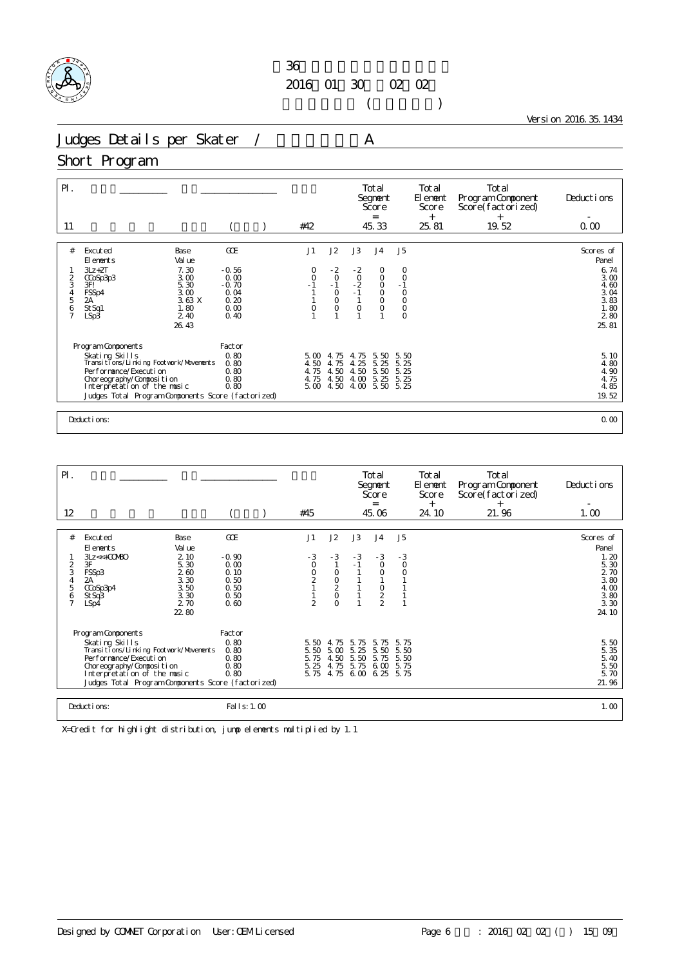

 $($ 

Version 2016.35.1434

Judges Details per Skater / A

#### Short Program

| $P$ .<br>11                  |                                                                                                                                                                                                                          |                                                           |  | #42                                         |                                                        |                                               | Total<br>Segnent<br>Score<br>$=$<br>45.33                              |                                                                         | Total<br>El ement<br>Score<br>$+$<br>25.81 | Total<br>Program Component<br>Score(factorized)<br>$+$<br>19.52 | Deductions<br>0.00                                                 |
|------------------------------|--------------------------------------------------------------------------------------------------------------------------------------------------------------------------------------------------------------------------|-----------------------------------------------------------|--|---------------------------------------------|--------------------------------------------------------|-----------------------------------------------|------------------------------------------------------------------------|-------------------------------------------------------------------------|--------------------------------------------|-----------------------------------------------------------------|--------------------------------------------------------------------|
|                              |                                                                                                                                                                                                                          |                                                           |  |                                             |                                                        |                                               |                                                                        |                                                                         |                                            |                                                                 |                                                                    |
| #<br>$\frac{2}{3}$<br>4<br>5 | Excuted<br><b>Base</b><br>Val ue<br>El ements<br>7.30<br>$3Lz + 2T$<br>3.00<br>CCoSp3p3<br>5.30<br>3F!<br>3.00<br>FSSp4<br>3.63X<br>2A<br>1.80<br>St Sq1                                                                 | GOE<br>$-0.56$<br>0.00<br>$-0.70$<br>0.04<br>0.20<br>0.00 |  | J1<br>0<br>$\circ$<br>$\circ$               | J2<br>$-2$<br>$\circ$<br>$-1$<br>$_{0}^{0}$<br>$\circ$ | J3<br>$-2$<br>$-0$<br>$-2$<br>$-1$<br>$\circ$ | J <sub>4</sub><br>0<br>$\circ$<br>$\circ$<br>$\overline{0}$<br>$\circ$ | J <sub>5</sub><br>0<br>$\circ$<br>$-1$<br>$_{\rm O}^{\rm O}$<br>$\circ$ |                                            |                                                                 | Scores of<br>Panel<br>6.74<br>3.00<br>4.60<br>3.04<br>3.83<br>1.80 |
| $\frac{6}{7}$                | 2.40<br>LSp3<br>26.43                                                                                                                                                                                                    | 0.40                                                      |  |                                             |                                                        |                                               |                                                                        | $\circ$                                                                 |                                            |                                                                 | 280<br>25.81                                                       |
|                              | Program Components<br>Skating Skills<br>Transitions/Linking Footvork/Movements<br>Performance/Execution<br>Choreography/Composition<br>Interpretation of the music<br>Judges Total Program Components Score (factorized) | Factor<br>0.80<br>0.80<br>0.80<br>0.80<br>0.80            |  | $5\,\omega$<br>4.50<br>4.75<br>4.75<br>5.00 | 4.75<br>4.75<br>4.50<br>4.50<br>4.50                   | -75<br>4.<br>4.25<br>4.50<br>4.00<br>4.00     | 5.50<br>5.25<br>5.50<br>5.25<br>5.50                                   | 5.50<br>5.25<br>5.25<br>5.25<br>5.25                                    |                                            |                                                                 | 5.10<br>4.80<br>4.90<br>4.75<br>4.85<br>19.52                      |
|                              | Deductions:<br>0.00                                                                                                                                                                                                      |                                                           |  |                                             |                                                        |                                               |                                                                        |                                                                         |                                            |                                                                 |                                                                    |

| $\mathsf{P}$ .           |                                                     |                              |                                 |                     |                                      |              | Total<br>Segnent<br>Score<br>$=$ |                            | Total<br>El enent<br>Score<br>$^{+}$ | Total<br>Program Component<br>Score(factorized)<br>$^{+}$ | Deductions                   |
|--------------------------|-----------------------------------------------------|------------------------------|---------------------------------|---------------------|--------------------------------------|--------------|----------------------------------|----------------------------|--------------------------------------|-----------------------------------------------------------|------------------------------|
| 12                       |                                                     |                              |                                 | #45                 |                                      |              | 45.06                            |                            | 24.10                                | 21.96                                                     | 1.00                         |
| #                        | Excuted                                             | Base                         | GOE                             | J1                  | J2                                   | J3           | J <sub>4</sub>                   | J <sub>5</sub>             |                                      |                                                           | Scores of                    |
|                          | El ements                                           | Val ue                       |                                 |                     |                                      |              |                                  |                            |                                      |                                                           | Panel                        |
| $\frac{2}{3}$<br>4       | $3Lz \ll +00000$<br>3F<br>FSSp3<br>2A               | 2 10<br>5.30<br>2.60<br>3.30 | $-0.90$<br>0.00<br>0.10<br>0.50 | $-3$<br>0<br>0<br>2 | $-3$<br>$\circ$                      | $-3$<br>$-1$ | $-3$<br>$\circ$<br>$\circ$       | $-3$<br>$\circ$<br>$\circ$ |                                      |                                                           | 1.20<br>5.30<br>2 70<br>3.80 |
| 5<br>6<br>$\overline{7}$ | CCoSp3p4<br>St Sq3<br>LSp4                          | 3.50<br>3.30<br>2.70         | 0.50<br>0.50<br>0.60            | $\mathfrak{D}$      | $\frac{0}{2}$<br>$\circ$<br>$\Omega$ |              | $\circ$<br>$\frac{2}{2}$         |                            |                                      |                                                           | 4.00<br>3.80<br>3.30         |
|                          | Program Components                                  | 22.80                        | Factor                          |                     |                                      |              |                                  |                            |                                      |                                                           | 24.10                        |
|                          | Skating Skills                                      |                              | 0.80                            | 5.50                | 4.75                                 | 5.75         | 5.75                             | 5.75                       |                                      |                                                           | 5.50                         |
|                          | Transi ti ons/Li nki ng Footvork/Movements          |                              | 0.80                            | 5.50                | 5.00                                 | 5.25         | 5.50                             | 5.50                       |                                      |                                                           | 5.35                         |
|                          | Per for mance/Execution<br>Choreography/Composition |                              | 0.80<br>0.80                    | 5.75<br>5.25        | 4.50<br>4.75                         | 5.50<br>5.75 | 5.75<br>6.00                     | 5.50<br>5.75               |                                      |                                                           | 5.40<br>5.50                 |
|                          | Interpretation of the music                         |                              | 0.80                            | 5.75                | 4.75                                 |              | $6.00\;6.25$                     | 5.75                       |                                      |                                                           | 5.70                         |
|                          | Judges Total Program Components Score (factorized)  |                              |                                 |                     |                                      |              |                                  |                            |                                      |                                                           | 21.96                        |
|                          |                                                     |                              |                                 |                     |                                      |              |                                  |                            |                                      |                                                           |                              |
|                          | Deductions:                                         |                              | Fal I s: 1.00                   |                     |                                      |              |                                  |                            |                                      |                                                           | 1.00                         |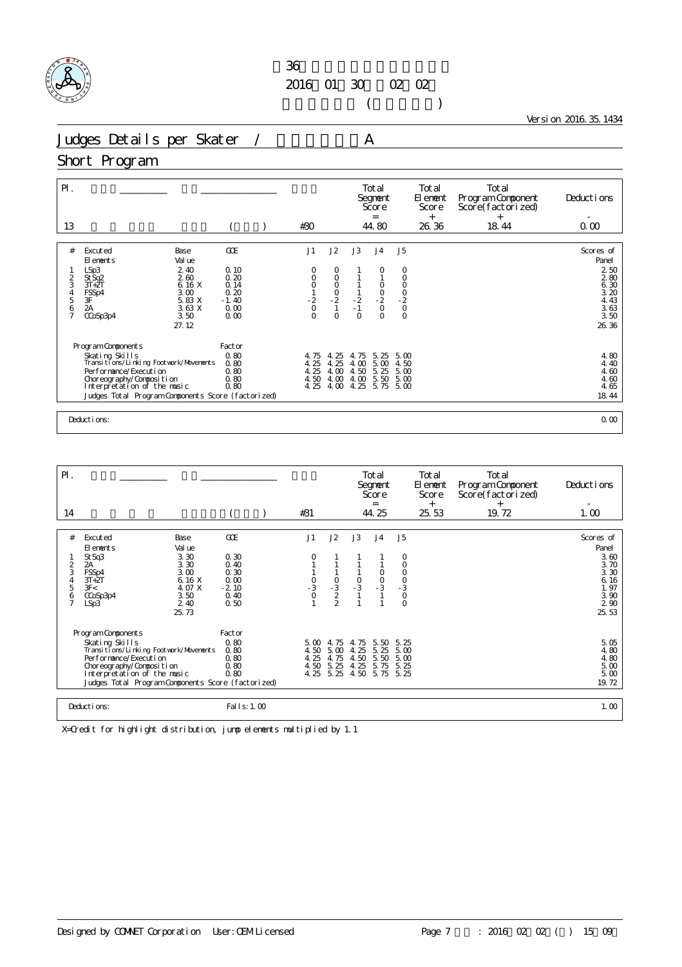

 $($ 

Version 2016.35.1434

Judges Details per Skater / A

#### Short Program

| $P$ .<br>13                           |                                                          |                 | #30                |               |                      | Total<br>Segnent<br>Score<br>$=$<br>44.80 |                              | Total<br>El ement<br>Score<br>$^{+}$<br>26.36 | Total<br>Program Component<br>Score(factorized)<br>$^{+}$<br>18.44 | Deductions<br>0.00 |
|---------------------------------------|----------------------------------------------------------|-----------------|--------------------|---------------|----------------------|-------------------------------------------|------------------------------|-----------------------------------------------|--------------------------------------------------------------------|--------------------|
|                                       |                                                          |                 |                    |               |                      |                                           |                              |                                               |                                                                    |                    |
| #                                     | Excuted<br>Base<br>Val ue<br>El ements                   | <b>GCE</b>      | J1                 | J2            | J3                   | J <sub>4</sub>                            | J <sub>5</sub>               |                                               |                                                                    | Scores of<br>Panel |
|                                       | 2.40<br>LSp3                                             | 0.10            | O                  | 0             |                      | 0                                         | 0                            |                                               |                                                                    | 250                |
| 2<br>3                                | 260<br>St Sq2<br>6.16 X<br>$3T+2T$                       | 0.20<br>0.14    | 0                  | $\circ$       |                      |                                           | O                            |                                               |                                                                    | 280<br>6.30        |
| $\begin{array}{c} 4 \\ 5 \end{array}$ | 3.00<br>FSSp4<br>3F                                      | 0.20            | $0$<br>$-2$<br>$0$ | $\frac{0}{2}$ |                      | $\begin{matrix} 0 \\ 0 \\ 2 \end{matrix}$ | $\frac{0}{0}$<br>$-2$<br>$0$ |                                               |                                                                    | 3.20               |
|                                       | 5.83 X<br>2A<br>3.63X                                    | $-1.40$<br>0.00 |                    |               | $\frac{1}{2}$<br>- 1 | $\circ$                                   |                              |                                               |                                                                    | 4.43               |
| $\frac{6}{7}$                         | 3.50<br>CCoSp3p4                                         | 0.00            | $\Omega$           | $\Omega$      | $\Omega$             | $\Omega$                                  | $\circ$                      |                                               |                                                                    | $3.63$<br>$3.50$   |
|                                       | 27.12                                                    |                 |                    |               |                      |                                           |                              |                                               |                                                                    | 26.36              |
|                                       |                                                          |                 |                    |               |                      |                                           |                              |                                               |                                                                    |                    |
|                                       | Program Components                                       | Factor          |                    |               |                      |                                           |                              |                                               |                                                                    |                    |
|                                       | Skating Skills<br>Transitions/Linking Footvork/Movements | 0.80<br>0.80    | 4.75<br>4.25       | 4.25<br>4.25  | 4.75<br>4.00         | 5.25<br>5.00                              | 5.00<br>4.50                 |                                               |                                                                    | 4.80<br>4.40       |
|                                       | Performance/Execution                                    | 0.80            | 4.25               | 4.00          | 4.50                 | 5.25                                      | 5.00                         |                                               |                                                                    | 4.60               |
|                                       | Choreography/Composition                                 | 0.80            | 4.50               | 4.00          | 4.00                 | 5.50                                      | 5.00                         |                                               |                                                                    | 4.60               |
|                                       | Interpretation of the music                              | 0.80            | 4.25               | 4.00          | 4.25                 | 5.75 5.00                                 |                              |                                               |                                                                    | 4.65               |
|                                       | Judges Total Program Components Score (factorized)       |                 |                    |               |                      |                                           |                              |                                               |                                                                    | 18.44              |
|                                       |                                                          |                 |                    |               |                      |                                           |                              |                                               |                                                                    |                    |
|                                       | Deductions:                                              |                 |                    |               |                      |                                           |                              |                                               |                                                                    | 0.00               |

| $\mathsf{P}$ .<br>14                                      |                                                                                                                                                                                                                                |                                                                | #31                                               |                                      |                                      | Total<br>Segnent<br>Score<br>$=$<br>44.25                           |                                                                                | Total<br>El ement<br>Score<br>$^{+}$<br>25.53 | Total<br>Program Component<br>Score(factorized)<br>$^{+}$<br>19.72 | Deductions<br>1.00                                                                  |
|-----------------------------------------------------------|--------------------------------------------------------------------------------------------------------------------------------------------------------------------------------------------------------------------------------|----------------------------------------------------------------|---------------------------------------------------|--------------------------------------|--------------------------------------|---------------------------------------------------------------------|--------------------------------------------------------------------------------|-----------------------------------------------|--------------------------------------------------------------------|-------------------------------------------------------------------------------------|
|                                                           |                                                                                                                                                                                                                                |                                                                |                                                   |                                      |                                      |                                                                     |                                                                                |                                               |                                                                    |                                                                                     |
| #<br>$\overline{2}$<br>3<br>4<br>5<br>6<br>$\overline{7}$ | Base<br>Excuted<br>Val ue<br>El ements<br>St Sq3<br>3.30<br>$\overline{2A}$<br>3.30<br>3.00<br>FSSp4<br>6.16 X<br>$3T+2T$<br>4. O7 X<br>3F<<br>3.50<br>CCoSp3p4<br>2.40<br>LSp3<br>25.73                                       | GOE<br>0.30<br>0.40<br>0.30<br>0.00<br>$-2.10$<br>0.40<br>0.50 | J1<br>$\begin{array}{c} 0 \\ -3 \\ 0 \end{array}$ | J2<br>$\frac{0}{2}$                  | J3<br>$\frac{0}{-3}$                 | J <sub>4</sub><br>$\circ$<br>$\begin{array}{c} 0 \\ -3 \end{array}$ | J <sub>5</sub><br>0<br>$\circ$<br>$\mathsf O$<br>$-3$<br>$-3$<br>0<br>$\Omega$ |                                               |                                                                    | Scores of<br>Panel<br>3.60<br>3.70<br>3.30<br>6.16<br>1.97<br>3.90<br>2 90<br>25.53 |
|                                                           | Program Components<br>Skating Skills<br>Transi ti ons/Li nki ng Footvork/Movements<br>Per for mance/Execution<br>Choreography/Composition<br>Interpretation of the music<br>Judges Total Program Components Score (factorized) | Factor<br>0.80<br>0.80<br>0.80<br>0.80<br>0.80                 | $5 \Omega$<br>4.50<br>4.25<br>4.50<br>4.25        | 4.75<br>5.00<br>4.75<br>5.25<br>5.25 | 4.75<br>4.25<br>4.50<br>4.25<br>4.50 | 5.50<br>5.25<br>5.50<br>5.75<br>5.75                                | 5.25<br>5.00<br>5.00<br>5.25<br>5.25                                           |                                               |                                                                    | 5.05<br>4.80<br>4.80<br>5.00<br>5.00<br>19.72                                       |
|                                                           | Deductions:                                                                                                                                                                                                                    | Fal I s: 1.00                                                  |                                                   |                                      |                                      |                                                                     |                                                                                |                                               |                                                                    | 1.00                                                                                |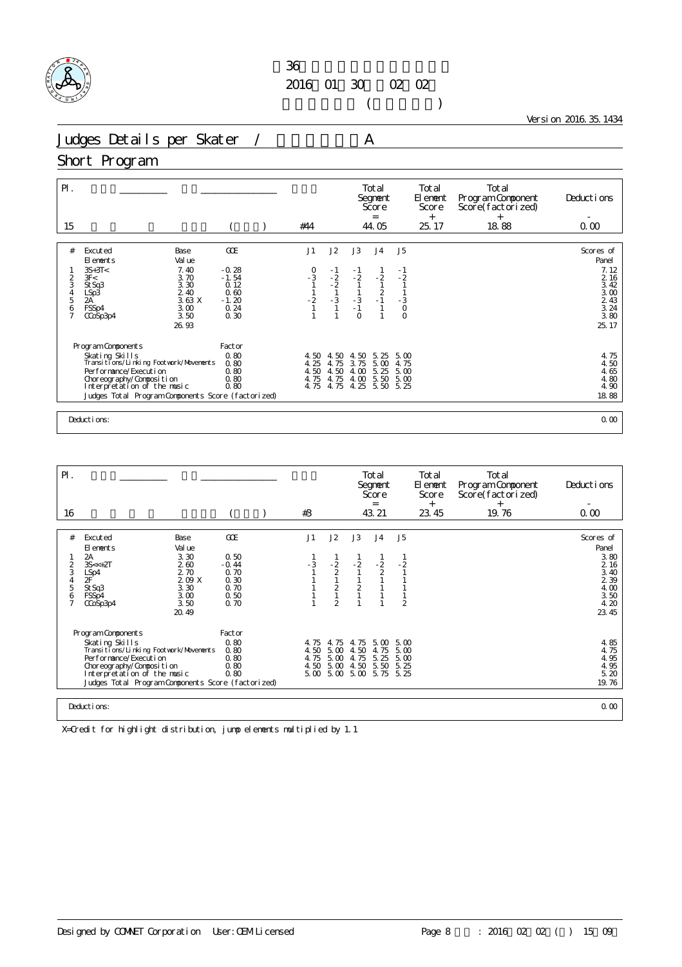

 $($ 

Version 2016.35.1434

Judges Details per Skater / A

#### Short Program

| $P$ .<br>15                            |                                                                                                                                                                                                                          |                                                                      | #44                                                                |                                            |                                                       | Total<br>Segnent<br>Score<br>$=$<br>44.05 |                                                           | Total<br>El ement<br>Score<br>$^{+}$<br>25.17 | Total<br>Program Component<br>Score(factorized)<br>$^{+}$<br>18.88 | Deductions<br>0.00                                                               |
|----------------------------------------|--------------------------------------------------------------------------------------------------------------------------------------------------------------------------------------------------------------------------|----------------------------------------------------------------------|--------------------------------------------------------------------|--------------------------------------------|-------------------------------------------------------|-------------------------------------------|-----------------------------------------------------------|-----------------------------------------------|--------------------------------------------------------------------|----------------------------------------------------------------------------------|
| #<br>2<br>3<br>$\frac{4}{5}$<br>6<br>7 | Excuted<br>Base<br>Val ue<br>El ements<br>$3S+3T<$<br>7.40<br>3F<<br>3.70<br>3.30<br>St Sq3<br>2.40<br>LSp3<br>2A<br>3.63X<br>3.00<br>FSSp4<br>3.50<br>CCoSp3p4<br>26.93                                                 | GOE<br>$-0.28$<br>$-1.54$<br>0.12<br>0.60<br>$-1.20$<br>0.24<br>0.30 | J1<br>$\begin{array}{c} 0 \\ -3 \\ 1 \end{array}$<br>$\frac{1}{2}$ | J2<br>$-1$<br>$-2$<br>$-2$<br>$-1$<br>$-3$ | J3<br>$-1$<br>$-2$<br>$\frac{1}{3}$<br>-1<br>$\Omega$ | J <sub>4</sub><br>$-2$<br>$\frac{2}{1}$   | J <sub>5</sub><br>- 1<br>$-2$<br>$\frac{3}{0}$<br>$\circ$ |                                               |                                                                    | Scores of<br>Panel<br>7.12<br>$216$<br>$342$<br>$324$<br>$324$<br>$324$<br>25.17 |
|                                        | Program Components<br>Skating Skills<br>Transitions/Linking Footwork/Movements<br>Performance/Execution<br>Choreography/Composition<br>Interpretation of the music<br>Judges Total Program Components Score (factorized) | Factor<br>0.80<br>0.80<br>0.80<br>0.80<br>0.80                       | 4.50<br>4.25<br>4.50<br>4.75<br>4.75                               | 4.50<br>4.75<br>4.50<br>4.75<br>4.75       | 4.50<br>3.75<br>$\infty$<br>4.<br>4.00<br>4.25        | 5.25<br>5.00<br>5.25<br>5.50<br>5.50 5.25 | 5.00<br>4.75<br>5.00<br>5.00                              |                                               |                                                                    | 4.75<br>4.50<br>4.65<br>4.80<br>4.90<br>18.88                                    |
|                                        | Deductions:                                                                                                                                                                                                              |                                                                      |                                                                    |                                            |                                                       |                                           |                                                           |                                               |                                                                    | 0.00                                                                             |

| $\mathsf{P}$ .                                               |                                                                                                                                                                                                                              |                                                                                 |                                                                |                              |                                                        |                                                      | Total<br>Segnent<br>Score<br>$=$     |                                          | Total<br>El enent<br>Score<br>$^{+}$ | Total<br>Program Component<br>Score(factorized)<br>$^{+}$ | Deductions                                                                                            |
|--------------------------------------------------------------|------------------------------------------------------------------------------------------------------------------------------------------------------------------------------------------------------------------------------|---------------------------------------------------------------------------------|----------------------------------------------------------------|------------------------------|--------------------------------------------------------|------------------------------------------------------|--------------------------------------|------------------------------------------|--------------------------------------|-----------------------------------------------------------|-------------------------------------------------------------------------------------------------------|
| 16                                                           |                                                                                                                                                                                                                              |                                                                                 |                                                                | #3                           |                                                        |                                                      | 43.21                                |                                          | 23.45                                | 19.76                                                     | 0.00                                                                                                  |
| #<br>$\frac{2}{3}$<br>$\sqrt{4}$<br>5<br>6<br>$\overline{7}$ | Excuted<br>El ements<br>2A<br>$3S < +2T$<br>LSp4<br>2F<br>St Sq3<br>FSSp4<br>CCoSp3p4                                                                                                                                        | Base<br>Val ue<br>3.30<br>260<br>2.70<br>209 X<br>3.30<br>3.00<br>3.50<br>20.49 | GOE<br>0.50<br>$-0.44$<br>0.70<br>0.30<br>0.70<br>0.50<br>0.70 | J1<br>- 3                    | J2<br>$\frac{2}{2}$<br>$\frac{2}{1}$<br>$\mathfrak{D}$ | J3<br>$-2$<br>$\overline{c}$                         | J <sub>4</sub><br>$\frac{2}{2}$      | J <sub>5</sub><br>$-2$<br>$\overline{2}$ |                                      |                                                           | Scores of<br>Panel<br>3.80<br>$\frac{2}{3}$ $\frac{16}{40}$<br>2 3 9<br>4.00<br>3.50<br>4.20<br>23.45 |
|                                                              | Program Components<br>Skating Skills<br>Transi ti ons/Li nki ng Footvork/Movements<br>Performance/Execution<br>Choreography/Composition<br>Interpretation of the music<br>Judges Total Program Components Score (factorized) |                                                                                 | Factor<br>0.80<br>0.80<br>0.80<br>0.80<br>0.80                 | 4.75<br>4.50<br>4.75<br>4.50 | 4.75<br>5.00<br>5.00<br>5.00                           | 4.75<br>4.50<br>4.75<br>4.50<br>$5.00$ $5.00$ $5.00$ | 5.00<br>4.75<br>5.25<br>5.50<br>5.75 | 5.00<br>5.00<br>5.00<br>5.25<br>5.25     |                                      |                                                           | 4.85<br>4.75<br>4.95<br>4.95<br>5.20<br>19.76                                                         |
|                                                              | Deductions:                                                                                                                                                                                                                  |                                                                                 |                                                                |                              |                                                        |                                                      |                                      |                                          |                                      |                                                           | 0.00                                                                                                  |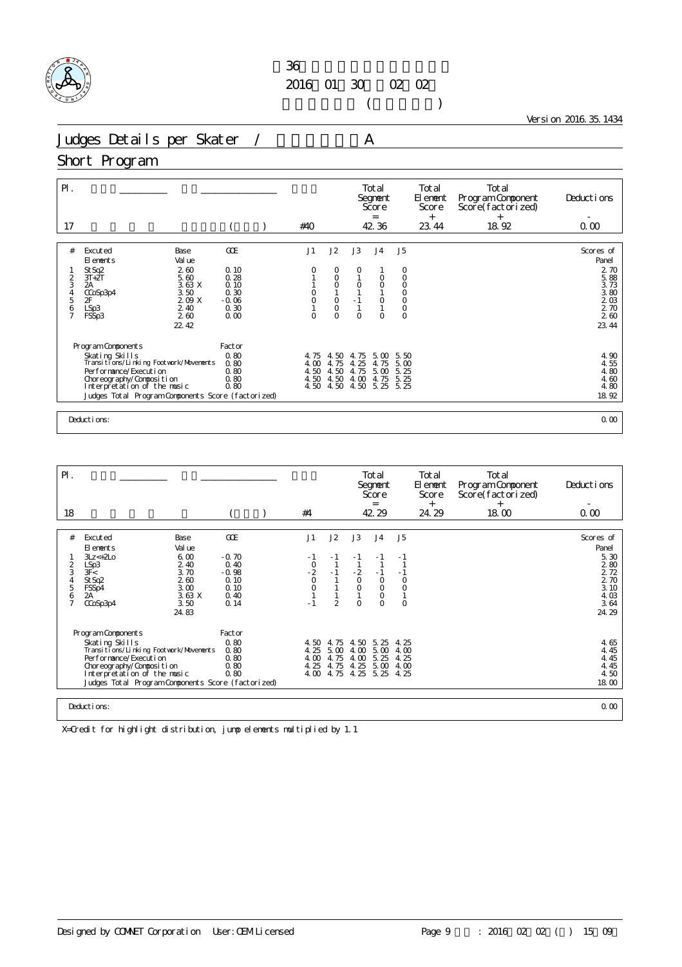

 $($ 

Version 2016.35.1434

Judges Details per Skater / A

#### Short Program

| $P$ .<br>17                                                 |                                                                                     |                                 | #40                |                                                  |                 | Total<br>Segnent<br>Score<br>$=$<br>42.36 |                                      | Total<br>El ement<br>Score<br>$^{+}$<br>23.44 | Total<br>Program Component<br>Score(factorized)<br>$+$<br>18.92 | Deductions<br>0.00                 |
|-------------------------------------------------------------|-------------------------------------------------------------------------------------|---------------------------------|--------------------|--------------------------------------------------|-----------------|-------------------------------------------|--------------------------------------|-----------------------------------------------|-----------------------------------------------------------------|------------------------------------|
|                                                             |                                                                                     |                                 |                    |                                                  |                 |                                           |                                      |                                               |                                                                 |                                    |
| #<br>2                                                      | Excuted<br><b>Base</b><br>Val ue<br>El ements<br>260<br>St Sq2<br>5.60<br>$3T + 2T$ | <b>GCE</b><br>0.10<br>0.28      | J1<br>0            | J2<br>0<br>$\circ$                               | J3<br>0         | J <sub>4</sub><br>$\circ$                 | J <sub>5</sub><br>0<br>$\circ$       |                                               |                                                                 | Scores of<br>Panel<br>2 70<br>5.88 |
| 3<br>$\begin{array}{c} 4 \\ 5 \end{array}$<br>$\frac{6}{7}$ | 3.63X<br>2A<br>3.50<br>CCoSp3p4<br>2F<br>209 X<br>2.40<br>LSp3                      | 0.10<br>0.30<br>$-0.06$<br>0.30 | 0<br>Ö<br>$\Omega$ | $\overline{O}$<br>$\circ$<br>$\circ$<br>$\Omega$ | $\circ$<br>$-1$ | $\circ$<br>$\circ$<br>$\Omega$            | $\circ$<br>$\overline{0}$<br>$\circ$ |                                               |                                                                 | 3.73<br>3.80<br>203<br>2 70<br>260 |
|                                                             | 260<br>FSSp3<br>22.42                                                               | 0.00                            |                    |                                                  | $\Omega$        |                                           | $\circ$                              |                                               |                                                                 | 23.44                              |
|                                                             | Program Components<br>Skating Skills                                                | Factor<br>0.80                  | 4.75               | 4.50                                             | -75<br>4.       | 5.00                                      | 5.50                                 |                                               |                                                                 |                                    |
|                                                             | Transitions/Linking Footwork/Movements                                              | 0.80                            | 4.00               | 4.75                                             | 4.25            | 4.75                                      | 5.00                                 |                                               |                                                                 | $4.90$<br>$4.55$                   |
|                                                             | Performance/Execution<br>Choreography/Composition                                   | 0.80<br>0.80                    | 4.50<br>4.50       | 4.50<br>4.50                                     | 4.75<br>4.00    | 5.00<br>4.75                              | 5.25<br>5.25                         |                                               |                                                                 | 4.80<br>4.60                       |
|                                                             | Interpretation of the music                                                         | 0.80                            | 4.50               | 4.50                                             | 4.50            | 5.25                                      | 5.25                                 |                                               |                                                                 | 4.80                               |
|                                                             | Judges Total Program Components Score (factorized)                                  |                                 |                    |                                                  |                 |                                           |                                      |                                               |                                                                 | 18.92                              |
|                                                             |                                                                                     |                                 |                    |                                                  |                 |                                           |                                      |                                               |                                                                 |                                    |
|                                                             | Deductions:                                                                         |                                 |                    |                                                  |                 |                                           |                                      |                                               |                                                                 | 0.00                               |

| $\mathsf{P}$ .                                       |                                                                                                                                                                                                                                |                                                               |                                                            |                                             |                                                |                                      | Total<br>Segnent<br>Score<br>$=$                         |                                      | Total<br>El enent<br>Score<br>$^{+}$ | Total<br>Program Component<br>Score (factorized)<br>$^{+}$ | Deductions                                                    |
|------------------------------------------------------|--------------------------------------------------------------------------------------------------------------------------------------------------------------------------------------------------------------------------------|---------------------------------------------------------------|------------------------------------------------------------|---------------------------------------------|------------------------------------------------|--------------------------------------|----------------------------------------------------------|--------------------------------------|--------------------------------------|------------------------------------------------------------|---------------------------------------------------------------|
| 18                                                   |                                                                                                                                                                                                                                |                                                               |                                                            | #4                                          |                                                |                                      | 42.29                                                    |                                      | 24.29                                | 18.00                                                      | 0.00                                                          |
|                                                      |                                                                                                                                                                                                                                |                                                               |                                                            |                                             |                                                |                                      |                                                          |                                      |                                      |                                                            |                                                               |
| #                                                    | Excuted<br>El ements                                                                                                                                                                                                           | Base<br>Val ue                                                | GOE                                                        | J1                                          | J2                                             | J3                                   | J <sub>4</sub>                                           | J5                                   |                                      |                                                            | Scores of<br>Panel                                            |
| $\overline{2}$<br>3<br>4<br>5<br>6<br>$\overline{ }$ | $3Lz < +2LO$<br>LSp3<br>3F<<br>St Sq2<br>FSSp4<br>2A<br>CCoSp3p4                                                                                                                                                               | 6.00<br>2.40<br>3.70<br>260<br>3.00<br>3.63X<br>3.50<br>24.83 | $-0.70$<br>0.40<br>$-0.98$<br>0.10<br>0.10<br>0.40<br>0.14 | - 1<br>$-2$<br>$-2$<br>0<br>$\circ$<br>$-1$ | $-1$<br>$-1$<br>$\mathbf{1}$<br>$\mathfrak{D}$ | $\frac{2}{0}$<br>$\circ$<br>$\Omega$ | - 1<br>$-1$<br>$\circ$<br>$\circ$<br>$\circ$<br>$\Omega$ | ÷.<br>$\circ$<br>$\circ$<br>$\circ$  |                                      |                                                            | 5.30<br>280<br>2 7 2<br>2 70<br>3.10<br>4.03<br>3.64<br>24.29 |
|                                                      | Program Components<br>Skating Skills<br>Transi ti ons/Li nki ng Footvork/Movements<br>Per for mance/Execution<br>Choreography/Composition<br>Interpretation of the music<br>Judges Total Program Components Score (factorized) |                                                               | Factor<br>0.80<br>0.80<br>0.80<br>0.80<br>0.80             | 4, 50 4, 75<br>4.25<br>4.00<br>4.25<br>4.00 | 5.00<br>4.75<br>4.75<br>4.75                   | 4.50<br>4.00<br>4.00<br>4.25<br>4.25 | 5.25<br>5.00<br>5.25<br>5.00<br>5.25                     | 4.25<br>4.00<br>4.25<br>4.00<br>4.25 |                                      |                                                            | 4.65<br>4.45<br>4.45<br>4.45<br>4.50<br>18.00                 |
|                                                      | Deductions:                                                                                                                                                                                                                    |                                                               |                                                            |                                             |                                                |                                      |                                                          |                                      |                                      |                                                            | 0.00                                                          |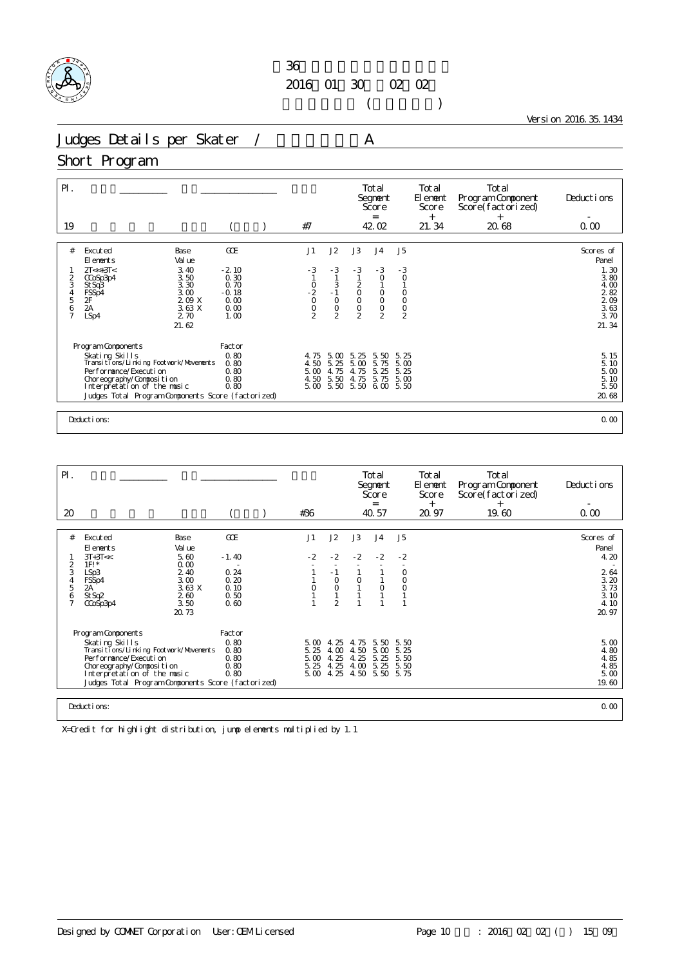

 $($ 

Version 2016.35.1434

Judges Details per Skater / A

#### Short Program

| $P$ .<br>19                                                                                                                                                                                                                             |                                                                          | #7                                                                       |                                                         |                                                                                      | Total<br>Segnent<br>Score<br>$=$<br>42.02                                                |                                                                                           | Total<br>El ement<br>Score<br>$^{+}$<br>21.34 | Total<br>Program Component<br>Score(factorized)<br>$^{+}$<br>20.68 | Deductions<br>0.00                                                                      |
|-----------------------------------------------------------------------------------------------------------------------------------------------------------------------------------------------------------------------------------------|--------------------------------------------------------------------------|--------------------------------------------------------------------------|---------------------------------------------------------|--------------------------------------------------------------------------------------|------------------------------------------------------------------------------------------|-------------------------------------------------------------------------------------------|-----------------------------------------------|--------------------------------------------------------------------|-----------------------------------------------------------------------------------------|
| #<br>Excuted<br>Base<br>Val ue<br>El ements<br>$2T \ll +3T \ll$<br>3.40<br>3.50<br>2<br>CCoSp3p4<br>3<br>3.30<br>St Sq3<br>3.00<br>$\frac{4}{5}$<br>FSSp4<br>2F<br>209 X<br>2A<br>3.63 X<br>$\frac{6}{7}$<br>LSp4<br>2.70<br>21.62      | <b>GCE</b><br>$-2.10$<br>0.30<br>0.70<br>$-0.18$<br>0.00<br>0.00<br>1.00 | J1<br>$-3$<br>$\begin{matrix} 0 \\ 2 \\ 0 \end{matrix}$<br>$\frac{0}{2}$ | J2<br>$-3$<br>$-3 - 1 - 0$<br>$\circ$<br>$\mathfrak{D}$ | J3<br>$-3$<br>$\begin{matrix} 2 \\ 0 \\ 0 \end{matrix}$<br>$\circ$<br>$\overline{2}$ | J <sub>4</sub><br>$-3$<br>$\circ$<br>$_{\rm O}^{\rm O}$<br>$\mathsf O$<br>$\overline{2}$ | J <sub>5</sub><br>- 3<br>$\circ$<br>$\begin{matrix} 0 \\ 0 \end{matrix}$<br>$\frac{0}{2}$ |                                               |                                                                    | Scores of<br>Panel<br>1.30<br>3.80<br>$400$<br>$280$<br>$209$<br>$363$<br>3.70<br>21.34 |
| Program Components<br>Skating Skills<br>Transitions/Linking Footwork/Movements<br>Performance/Execution<br>Choreography/Composition<br>Interpretation of the music<br>Judges Total Program Components Score (factorized)<br>Deductions: | Factor<br>0.80<br>0.80<br>0.80<br>0.80<br>0.80                           | 4.75<br>4.50<br>5.00<br>4.50<br>5.00                                     | 5.00<br>5.25<br>4.75<br>5.50<br>5.50                    | 5.<br>25<br>5.00<br>4.75<br>4.75<br>5.50                                             | 5.50<br>5.75<br>5.25<br>5.75<br>6.00                                                     | 5.25<br>5.00<br>5.25<br>5.00<br>5.50                                                      |                                               |                                                                    | 5.15<br>5.10<br>5.00<br>5.10<br>5.50<br>20.68<br>0.00                                   |

| $\mathsf{P}$ .                                                    |                                                                                                                                                                                                          |                                      |                                           |                                             |                                      | Total<br>Segnent<br>Score<br>$=$     |                                      | Total<br>El ement<br>Score | Total<br>Program Component<br>Score(factorized) | Deductions                                    |
|-------------------------------------------------------------------|----------------------------------------------------------------------------------------------------------------------------------------------------------------------------------------------------------|--------------------------------------|-------------------------------------------|---------------------------------------------|--------------------------------------|--------------------------------------|--------------------------------------|----------------------------|-------------------------------------------------|-----------------------------------------------|
| 20                                                                |                                                                                                                                                                                                          |                                      | #36                                       |                                             |                                      | 40.57                                |                                      | $^{+}$<br>20.97            | $^{+}$<br>19.60                                 | 0.00                                          |
|                                                                   |                                                                                                                                                                                                          |                                      |                                           |                                             |                                      |                                      |                                      |                            |                                                 |                                               |
| #                                                                 | Base<br>Excuted<br>Val ue<br>El ements                                                                                                                                                                   | GOE                                  | J1                                        | J2                                          | J3                                   | J <sub>4</sub>                       | J <sub>5</sub>                       |                            |                                                 | Scores of<br>Panel                            |
|                                                                   | $3T+3T<<$<br>5.60<br>0.00<br>$1F!$ *                                                                                                                                                                     | $-1.40$                              | $-2$                                      | $-2$                                        | $-2$                                 | $-2$                                 | $-2$                                 |                            |                                                 | 4.20                                          |
| $\overline{2}$<br>3<br>$\overline{4}$<br>5<br>6<br>$\overline{7}$ | 2.40<br>LSp3<br>3.00<br>FSSp4<br>3.63X<br>2A<br>260<br>St Sq2<br>3.50<br>CCoSp3p4<br>20.73                                                                                                               | 0.24<br>0.20<br>0.10<br>0.50<br>0.60 | 0                                         | $-1$<br>$\circ$<br>$\circ$<br>$\mathcal{P}$ | $\circ$                              | $\overline{O}$                       | $\circ$<br>$\circ$<br>$\circ$        |                            |                                                 | 2 64<br>3.20<br>3.73<br>3.10<br>4.10<br>20.97 |
|                                                                   | Program Components                                                                                                                                                                                       | Factor                               |                                           |                                             |                                      |                                      |                                      |                            |                                                 |                                               |
|                                                                   | Skating Skills<br>Transi ti ons/Li nki ng Footvork/Movements<br>Per for mance/Execution<br>Choreography/Composition<br>Interpretation of the music<br>Judges Total Program Components Score (factorized) | 0.80<br>0.80<br>0.80<br>0.80<br>0.80 | $5\omega$<br>5.25<br>5.00<br>5.25<br>5.00 | 4.25<br>4.00<br>4.25<br>4.25<br>4.25        | 4.75<br>4.50<br>4.25<br>4.00<br>4.50 | 5.50<br>5.00<br>5.25<br>5.25<br>5.50 | 5.50<br>5.25<br>5.50<br>5.50<br>5.75 |                            |                                                 | 5.00<br>4.80<br>4.85<br>4.85<br>5.00<br>19.60 |
|                                                                   | Deductions:                                                                                                                                                                                              |                                      |                                           |                                             |                                      |                                      |                                      |                            |                                                 | 0.00                                          |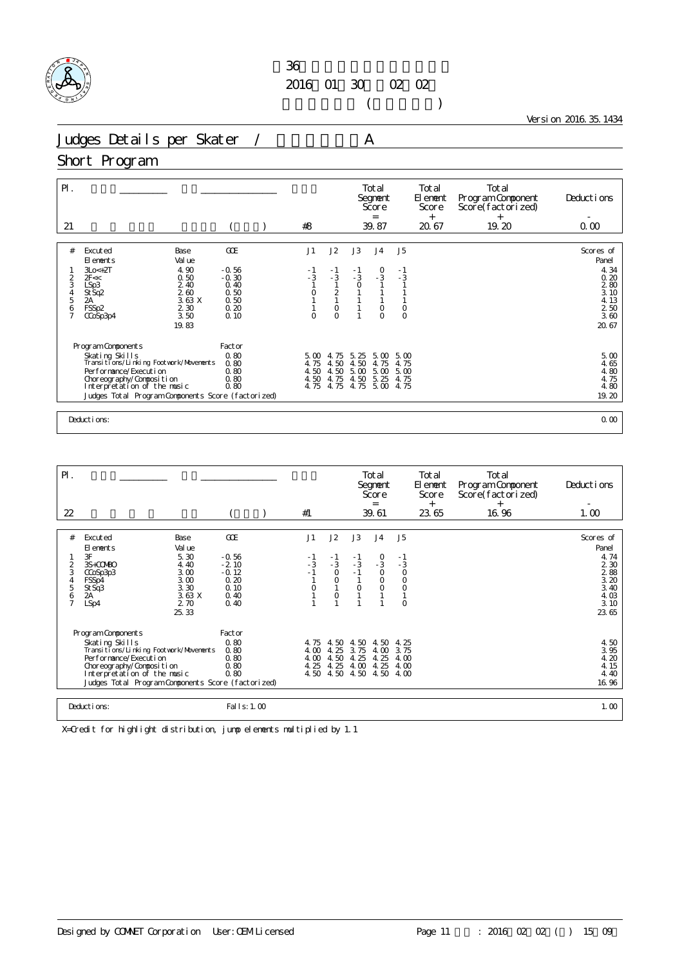

 $($ 

Version 2016.35.1434

Judges Details per Skater / A

### Short Program

| $P$ .<br>21        |                                                                                   |                      | #8                   |                                           |                      | Total<br>Segnent<br>Score<br>$=$<br>39.87 |                        | Total<br>El ement<br>Score<br>$+$<br>20.67 | Total<br>Program Component<br>Score(factorized)<br>$+$<br>19.20 | Deductions<br>0.00         |
|--------------------|-----------------------------------------------------------------------------------|----------------------|----------------------|-------------------------------------------|----------------------|-------------------------------------------|------------------------|--------------------------------------------|-----------------------------------------------------------------|----------------------------|
|                    |                                                                                   |                      |                      |                                           |                      |                                           |                        |                                            |                                                                 |                            |
| #                  | Excuted<br><b>Base</b><br>Val ue<br>El ements<br>4.90<br>$3Lo < +2T$              | GOE<br>$-0.56$       | J1<br>- 1            | J2<br>$-1$                                | J3<br>- 1            | J <sub>4</sub>                            | J <sub>5</sub><br>$-1$ |                                            |                                                                 | Scores of<br>Panel<br>4.34 |
| 2<br>3             | 0.50<br>2F <<<br>2.40<br>LSp3                                                     | $-0.30$<br>0.40      | $-3$                 | $-3$                                      | $-3$<br>$\circ$      | $\frac{0}{3}$                             | $-3$                   |                                            |                                                                 | 0.20<br>280                |
| $\frac{4}{5}$<br>6 | 260<br>St Sq2<br>3.63X<br>2A<br>2 3 0<br>FSSp2                                    | 0.50<br>0.50<br>0.20 | $\circ$              | $\overline{2}$<br>$\mathbf{1}$<br>$\circ$ |                      | $\circ$                                   | $\circ$                |                                            |                                                                 | 3.10<br>4.13<br>250        |
| $\overline{7}$     | 3.50<br>CCoSp3p4<br>19.83                                                         | 0.10                 | $\Omega$             | $\Omega$                                  |                      | $\circ$                                   | $\circ$                |                                            |                                                                 | 3.60<br>20.67              |
|                    | Program Components                                                                | Factor               |                      |                                           |                      |                                           |                        |                                            |                                                                 |                            |
|                    | Skating Skills<br>Transitions/Linking Footwork/Movements<br>Performance/Execution | 0.80<br>0.80         | 5.00<br>4.75         | 4.75<br>4.50                              | 5.25<br>4.50         | 5.00<br>4.75                              | 5.00<br>4.75           |                                            |                                                                 | 5.00<br>4.65               |
|                    | Choreography/Composition<br>Interpretation of the music                           | 0.80<br>0.80<br>0.80 | 4.50<br>4.50<br>4.75 | 4.50<br>4.75<br>4.75                      | 5.00<br>4.50<br>4.75 | 5.00<br>5.25<br>5.00                      | 5.00<br>4.75<br>4.75   |                                            |                                                                 | 4.80<br>4.75<br>4.80       |
|                    | Judges Total Program Components Score (factorized)                                |                      |                      |                                           |                      |                                           |                        |                                            |                                                                 | 19.20                      |
|                    |                                                                                   |                      |                      |                                           |                      |                                           |                        |                                            |                                                                 |                            |
|                    | Deductions:                                                                       |                      |                      |                                           |                      |                                           |                        |                                            |                                                                 | 0.00                       |

| $\mathsf{P}$ .<br>22                                      |                                                                                                                                                                                                                                |                                                                      | #1                                   |                                                           |                                      | Total<br>Segnent<br>Score<br>$=$<br>39.61                        |                                                                   | Total<br>El ement<br>Score<br>$^{+}$<br>23.65 | Total<br>Program Component<br>Score(factorized)<br>$^{+}$<br>16.96 | Deductions<br>1.00                                                                                                  |
|-----------------------------------------------------------|--------------------------------------------------------------------------------------------------------------------------------------------------------------------------------------------------------------------------------|----------------------------------------------------------------------|--------------------------------------|-----------------------------------------------------------|--------------------------------------|------------------------------------------------------------------|-------------------------------------------------------------------|-----------------------------------------------|--------------------------------------------------------------------|---------------------------------------------------------------------------------------------------------------------|
|                                                           |                                                                                                                                                                                                                                |                                                                      |                                      |                                                           |                                      |                                                                  |                                                                   |                                               |                                                                    |                                                                                                                     |
| #<br>$\overline{2}$<br>3<br>4<br>5<br>6<br>$\overline{7}$ | Base<br>Excuted<br>Val ue<br>El ements<br>3F<br>5.30<br>4.40<br>3S+COMBO<br>3.00<br>CCoSp3p3<br>3.00<br>FSSp4<br>3.30<br>St Sq3<br>3.63 X<br>2A<br>2.70<br>LSp4<br>25.33                                                       | GOE<br>$-0.56$<br>$-2.10$<br>$-0.12$<br>0.20<br>0.10<br>0.40<br>0.40 | J1<br>- 1<br>$-3$<br>$-1$<br>0       | J2<br>$\frac{-1}{3}$<br>$\mathsf O$<br>$\circ$<br>$\circ$ | J3<br>- 1<br>$-3$<br>$\circ$         | J <sub>4</sub><br>$\frac{0}{3}$<br>$\circ$<br>$\circ$<br>$\circ$ | J5<br>$\frac{-1}{3}$<br>$\circ$<br>$\circ$<br>$\circ$<br>$\Omega$ |                                               |                                                                    | Scores of<br>Panel<br>4.74<br>2 3 0<br>$\begin{array}{c} 2.88 \\ 3.20 \end{array}$<br>3.40<br>4.03<br>3.10<br>23.65 |
|                                                           | Program Components<br>Skating Skills<br>Transi ti ons/Li nki ng Footvork/Movements<br>Per for mance/Execution<br>Choreography/Composition<br>Interpretation of the music<br>Judges Total Program Components Score (factorized) | Factor<br>0.80<br>0.80<br>0.80<br>0.80<br>0.80                       | 4.75<br>4.00<br>4.00<br>4.25<br>4.50 | 4.50<br>4.25<br>4.50<br>4.25<br>4.50                      | 4.50<br>3.75<br>4.25<br>4.00<br>4.50 | 4.50<br>4.00<br>4.25<br>4.25<br>4.50                             | 4.25<br>3.75<br>4.00<br>4.00<br>4.00                              |                                               |                                                                    | 4.50<br>3.95<br>4.20<br>4.15<br>4.40<br>16.96                                                                       |
|                                                           | Deductions:                                                                                                                                                                                                                    | Fal I s: 1.00                                                        |                                      |                                                           |                                      |                                                                  |                                                                   |                                               |                                                                    | 1.00                                                                                                                |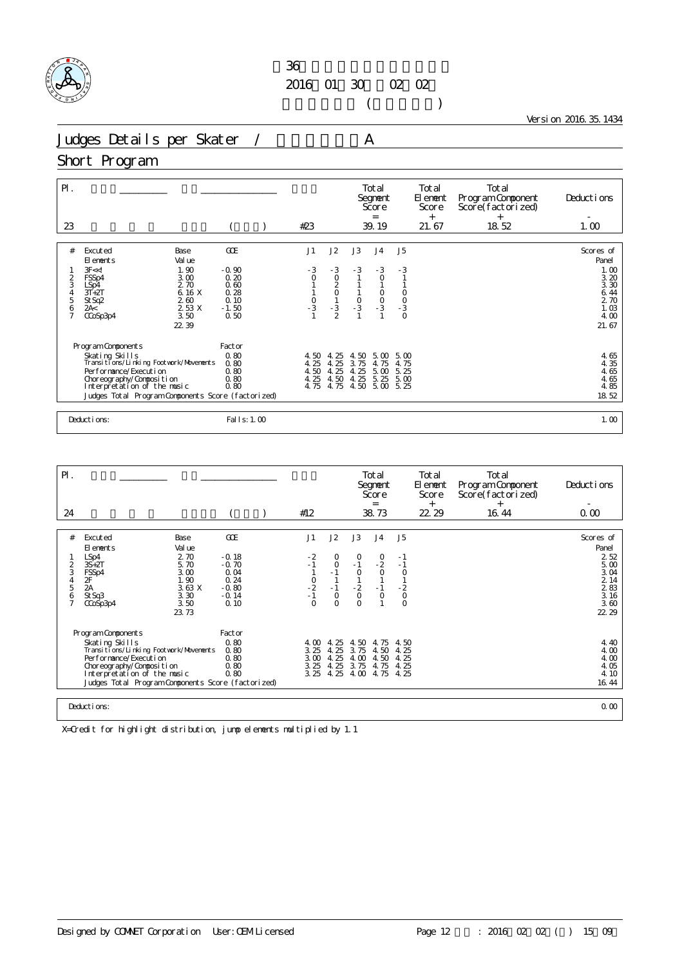

 $($ 

Version 2016.35.1434

Judges Details per Skater / A

#### Short Program

| $P$ .<br>23                   |                                                                                                                                                                                                                          |                                                         |                                                            | #23                                                            |                                                                                |                                            | Total<br>Segnent<br>Score<br>$=$<br>39.19                    |                                        | Total<br>El ement<br>Score<br>$^{+}$<br>21.67 | Total<br>Program Component<br>Score(factorized)<br>$^{+}$<br>18.52 | Deductions<br>1.00                                            |
|-------------------------------|--------------------------------------------------------------------------------------------------------------------------------------------------------------------------------------------------------------------------|---------------------------------------------------------|------------------------------------------------------------|----------------------------------------------------------------|--------------------------------------------------------------------------------|--------------------------------------------|--------------------------------------------------------------|----------------------------------------|-----------------------------------------------|--------------------------------------------------------------------|---------------------------------------------------------------|
| #                             | Excuted<br>Base<br>Val ue<br>El ements                                                                                                                                                                                   |                                                         | GOE                                                        | J1                                                             | J2                                                                             | J3                                         | J <sub>4</sub>                                               | J <sub>5</sub>                         |                                               |                                                                    | Scores of<br>Panel                                            |
| 3<br>5<br>6<br>$\overline{7}$ | 3F < 1<br>FSSp4<br>$LSp4$<br>$3T+2T$<br>St Sq2<br>2A<<br>CCoSp3p4<br>22.39                                                                                                                                               | 1.90<br>3.00<br>2.70<br>6.16 X<br>260<br>2 53 X<br>3.50 | $-0.90$<br>0.20<br>0.60<br>0.28<br>0.10<br>$-1.50$<br>0.50 | $-3$<br>$\circ$<br>$\begin{array}{c} 1 \\ 0 \\ -3 \end{array}$ | $-3$<br>$\begin{matrix} 0 \\ 2 \\ 0 \\ 1 \\ -3 \end{matrix}$<br>$\overline{2}$ | $-3$<br>$\begin{matrix}0\\ -3\end{matrix}$ | $-3$<br>$\circ$<br>$\begin{matrix} 0 \\ 0 \\ 3 \end{matrix}$ | $-3$<br>$\frac{0}{0}$<br>$\frac{3}{0}$ |                                               |                                                                    | 1.00<br>3.20<br>3.30<br>6.44<br>2 70<br>1.03<br>4.00<br>21.67 |
|                               | Program Components<br>Skating Skills<br>Transitions/Linking Footwork/Movements<br>Performance/Execution<br>Choreography/Composition<br>Interpretation of the music<br>Judges Total Program Components Score (factorized) |                                                         | Factor<br>0.80<br>0.80<br>0.80<br>0.80<br>0.80             | 4.50<br>4.25<br>4.50<br>4.25<br>4.75                           | 4.25<br>4.25<br>4.25<br>4.50<br>4.75                                           | 4.50<br>3.75<br>4.25<br>4.25<br>4.50       | 5.00<br>4.75<br>5.00<br>5.25<br>5.00                         | 5.00<br>4.75<br>5.25<br>5.00<br>5.25   |                                               |                                                                    | $4.65$<br>$4.35$<br>4.65<br>4.65<br>4.85<br>18.52             |
|                               | Deductions:                                                                                                                                                                                                              |                                                         | Fal I s: 1.00                                              |                                                                |                                                                                |                                            |                                                              |                                        |                                               |                                                                    | 1.00                                                          |

| $\mathsf{P}$ .      |                                                         |                 |                  |                     |                     | Total<br>Segnent<br>Score<br>$=$ |                    | Total<br>El ement<br>Score | Total<br>Program Component<br>Score(factorized) | Deductions                    |
|---------------------|---------------------------------------------------------|-----------------|------------------|---------------------|---------------------|----------------------------------|--------------------|----------------------------|-------------------------------------------------|-------------------------------|
| 24                  |                                                         |                 | #12              |                     |                     | 38.73                            |                    | $^{+}$<br>22 29            | $^{+}$<br>16.44                                 | 0.00                          |
|                     |                                                         |                 |                  |                     |                     |                                  |                    |                            |                                                 |                               |
| #                   | Excuted<br>Base                                         | GOE             | J1               | J2                  | J3                  | J <sub>4</sub>                   | J5                 |                            |                                                 | Scores of                     |
|                     | Val ue<br>El ements                                     |                 |                  |                     |                     |                                  |                    |                            |                                                 | Panel                         |
|                     | 2.70<br>$LSp4$<br>$3S+2T$                               | $-0.18$         | $\frac{-2}{1}$   | 0                   | $\circ$<br>$-1$     | $^{0}_{-2}$                      | - 1<br>$-1$        |                            |                                                 | $\substack{2\\5.00}$          |
| 2<br>3              | 5.70<br>3.00<br>FSSp4                                   | $-0.70$<br>0.04 |                  | $\circ$<br>$-1$     | $\Omega$            | $\Omega$                         | $\Omega$           |                            |                                                 | 3.04                          |
| 4                   | 1.90<br>$rac{2F}{2A}$                                   | 0.24            | $\frac{0}{2}$    |                     |                     |                                  |                    |                            |                                                 | $\frac{2}{2}$ $\frac{14}{83}$ |
| 5                   | 3.63X                                                   | $-0.80$         |                  | $-1$                | $-2$                | $-1$                             | $-2$               |                            |                                                 |                               |
| 6<br>$\overline{7}$ | 3.30<br>St Sq3<br>3.50                                  | $-0.14$<br>0.10 | $-1$<br>$\Omega$ | $\circ$<br>$\Omega$ | $\circ$<br>$\Omega$ | $\circ$                          | $\circ$<br>$\circ$ |                            |                                                 | 3.16<br>3.60                  |
|                     | CCoSp3p4<br>23.73                                       |                 |                  |                     |                     |                                  |                    |                            |                                                 | 22 29                         |
|                     |                                                         |                 |                  |                     |                     |                                  |                    |                            |                                                 |                               |
|                     | Program Components                                      | Factor          |                  |                     |                     |                                  |                    |                            |                                                 |                               |
|                     | Skating Skills                                          | 0.80            | 4.00             | 4.25                | 4.50                | 4.75                             | 4.50               |                            |                                                 | 4.40                          |
|                     | Transi ti ons/Li nki ng Footvork/Movements              | 0.80            | 3.25             | 4.25                | 3.75                | 4.50                             | 4.25               |                            |                                                 | 4.00                          |
|                     | Per for mance/Execution                                 | 0.80            | 3.00             | 4.25                | 4.00                | 4.50                             | 4.25               |                            |                                                 | 4.00                          |
|                     | Choreography/Composition<br>Interpretation of the music | 0.80<br>0.80    | 3.25<br>3.25     | 4.25<br>4.25        | 3.75<br>4.00        | 4.75<br>4.75                     | 4.25<br>4.25       |                            |                                                 | 4.05<br>4.10                  |
|                     | Judges Total Program Components Score (factorized)      |                 |                  |                     |                     |                                  |                    |                            |                                                 | 16.44                         |
|                     |                                                         |                 |                  |                     |                     |                                  |                    |                            |                                                 |                               |
|                     | Deductions:                                             |                 |                  |                     |                     |                                  |                    |                            |                                                 | 0.00                          |
|                     |                                                         |                 |                  |                     |                     |                                  |                    |                            |                                                 |                               |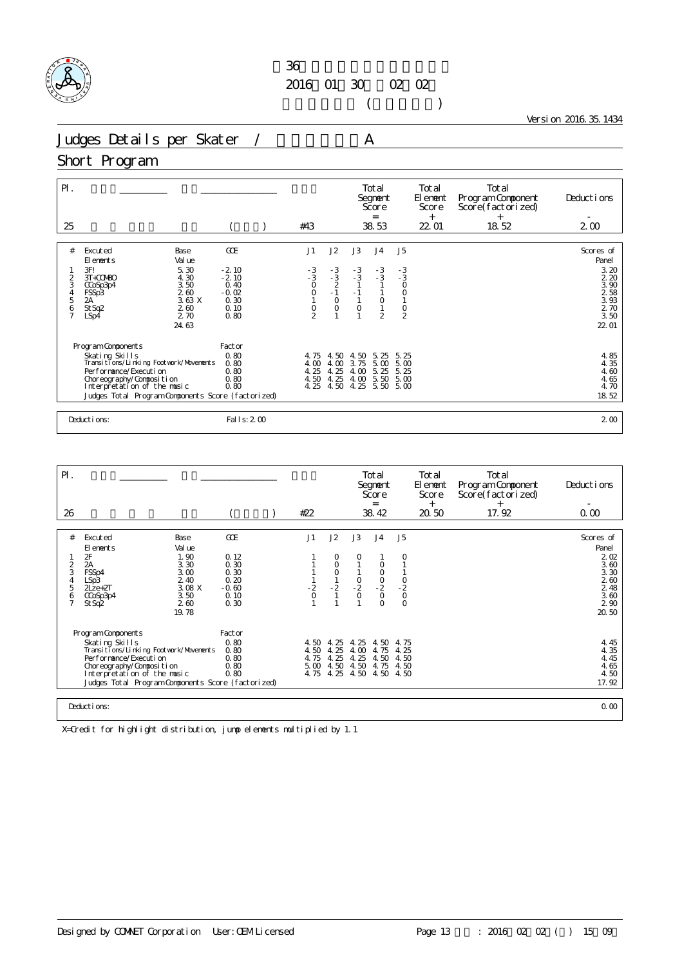

 $($ 

Version 2016.35.1434

Judges Details per Skater / A

#### Short Program

| $\mathsf{P}$ .<br>25           |                                                                                                                                                                                                                            |                                       |                                               | #43                                  |                                      |                                      | Total<br>Segnent<br>Score<br>$=$<br>38.53 |                                      | Total<br>El ement<br>Score<br>$^{+}$<br>22 01 | Total<br>Program Component<br>Score(factorized)<br>$^{+}$<br>18.52 | Deductions<br>$2\omega$                                              |
|--------------------------------|----------------------------------------------------------------------------------------------------------------------------------------------------------------------------------------------------------------------------|---------------------------------------|-----------------------------------------------|--------------------------------------|--------------------------------------|--------------------------------------|-------------------------------------------|--------------------------------------|-----------------------------------------------|--------------------------------------------------------------------|----------------------------------------------------------------------|
| #                              | Excuted<br>El ements                                                                                                                                                                                                       | Base<br>Val ue                        | GOE                                           | J1                                   | J2                                   | J3                                   | J <sub>4</sub>                            | J5                                   |                                               |                                                                    | Scores of<br>Panel                                                   |
| $\frac{2}{3}$<br>$\frac{4}{5}$ | 3F!<br>3T+COMBO<br>CCoSp3p4<br>FSSp3<br>2A                                                                                                                                                                                 | 5.30<br>4.30<br>3.50<br>2.60<br>3.63X | $-2.10$<br>$-2.10$<br>0.40<br>$-0.02$<br>0.30 | $-3$<br>$-3$<br>0<br>0<br>0<br>1     | $-3$<br>$-3$<br>$-2$<br>$-1$<br>0    | $-3$<br>$-3$<br>1<br>$-1$            | $-3$<br>$-3$<br>$\circ$                   | $-3$<br>- 3<br>$\circ$<br>$\circ$    |                                               |                                                                    | 3.20<br>2.20<br>$\overline{3}$ , $\overline{90}$<br>$\frac{2}{3}$ 58 |
| 6<br>$\overline{7}$            | St Sq2<br>LSp4                                                                                                                                                                                                             | 260<br>2.70<br>24.63                  | 0.10<br>0.80                                  | $\frac{0}{2}$                        | $\circ$                              | $\circ$                              | $\overline{2}$                            | $\frac{0}{2}$                        |                                               |                                                                    | 2 70<br>3.50<br>22.01                                                |
|                                |                                                                                                                                                                                                                            |                                       | Factor                                        |                                      |                                      |                                      |                                           |                                      |                                               |                                                                    |                                                                      |
|                                | Program Components<br>Skating Skills<br>Transitions/Linking Footwork/Movements<br>Per for mance/Execution<br>Choreography/Composition<br>Interpretation of the music<br>Judges Total Program Components Score (factorized) |                                       |                                               | 4.75<br>4.00<br>4.25<br>4.50<br>4.25 | 4.50<br>4.00<br>4.25<br>4.25<br>4.50 | 4.50<br>3.75<br>4.00<br>4.00<br>4.25 | 5.25<br>5.00<br>5.25<br>5.50<br>5.50      | 5.25<br>5.00<br>5.25<br>5.00<br>5.00 |                                               |                                                                    | 4.85<br>4.35<br>4.60<br>4.65<br>4.70<br>18.52                        |
|                                | Deductions:                                                                                                                                                                                                                |                                       | Fal I s: 2 00                                 |                                      |                                      |                                      |                                           |                                      |                                               |                                                                    | 2 <sub>0</sub>                                                       |

| $P$ .                                               |                                                                                                                                                                                                                              |                                                                                  |                                                                |                                                      |                                                      |                                      | Total<br>Segnent<br>Score<br>$=$                           |                                       | Total<br>El ement<br>Score<br>$^{+}$ | Total<br>Program Component<br>Score(factorized)<br>$^{+}$ | Deductions                                                                                          |
|-----------------------------------------------------|------------------------------------------------------------------------------------------------------------------------------------------------------------------------------------------------------------------------------|----------------------------------------------------------------------------------|----------------------------------------------------------------|------------------------------------------------------|------------------------------------------------------|--------------------------------------|------------------------------------------------------------|---------------------------------------|--------------------------------------|-----------------------------------------------------------|-----------------------------------------------------------------------------------------------------|
| 26                                                  |                                                                                                                                                                                                                              |                                                                                  |                                                                | #22                                                  |                                                      |                                      | 38.42                                                      |                                       | 20.50                                | 17.92                                                     | 0.00                                                                                                |
| #<br>$\frac{2}{3}$<br>4<br>5<br>6<br>$\overline{7}$ | Excuted<br>El ements<br>$\frac{2\mathsf{F}}{2\mathsf{A}}$<br>FSSp4<br>LSp3<br>$2$ Lze+ $2$ T<br>CCoSp3p4<br>St Sq2                                                                                                           | Base<br>Val ue<br>1.90<br>3.30<br>3.00<br>2.40<br>3.08 X<br>3.50<br>260<br>19.78 | GOE<br>0.12<br>0.30<br>0.30<br>0.20<br>$-0.60$<br>0.10<br>0.30 | J1<br>$\frac{2}{0}$                                  | J2<br>$\circ$<br>0<br>$-\frac{2}{1}$                 | J3<br>$-2$<br>$-2$<br>0              | J <sub>4</sub><br>$\circ$<br>$-2$<br>$-2$<br>0<br>$\Omega$ | J <sub>5</sub><br>$-2$<br>$-2$<br>$0$ |                                      |                                                           | Scores of<br>Panel<br>$\frac{2}{3}$ $\frac{02}{60}$<br>3.30<br>2.60<br>$248$ $360$<br>2 90<br>20.50 |
|                                                     | Program Components<br>Skating Skills<br>Transi ti ons/Li nki ng Footvork/Movements<br>Performance/Execution<br>Choreography/Composition<br>Interpretation of the music<br>Judges Total Program Components Score (factorized) | Factor<br>0.80<br>0.80<br>0.80<br>0.80<br>0.80                                   | 4.50<br>4.50<br>4.75<br>5.00<br>4.75                           | 25<br>$\overline{4}$<br>4.25<br>4.25<br>4.50<br>4.25 | 25<br>$\overline{4}$<br>4.00<br>4.25<br>4.50<br>4.50 | 4.50<br>4.75<br>4.50<br>4.75<br>4.50 | 4.75<br>4.25<br>4.50<br>4.50<br>4.50                       |                                       |                                      | 4.45<br>4.35<br>4.45<br>4.65<br>4.50<br>17.92             |                                                                                                     |
|                                                     | Deductions:                                                                                                                                                                                                                  |                                                                                  |                                                                |                                                      |                                                      |                                      |                                                            |                                       | 0.00                                 |                                                           |                                                                                                     |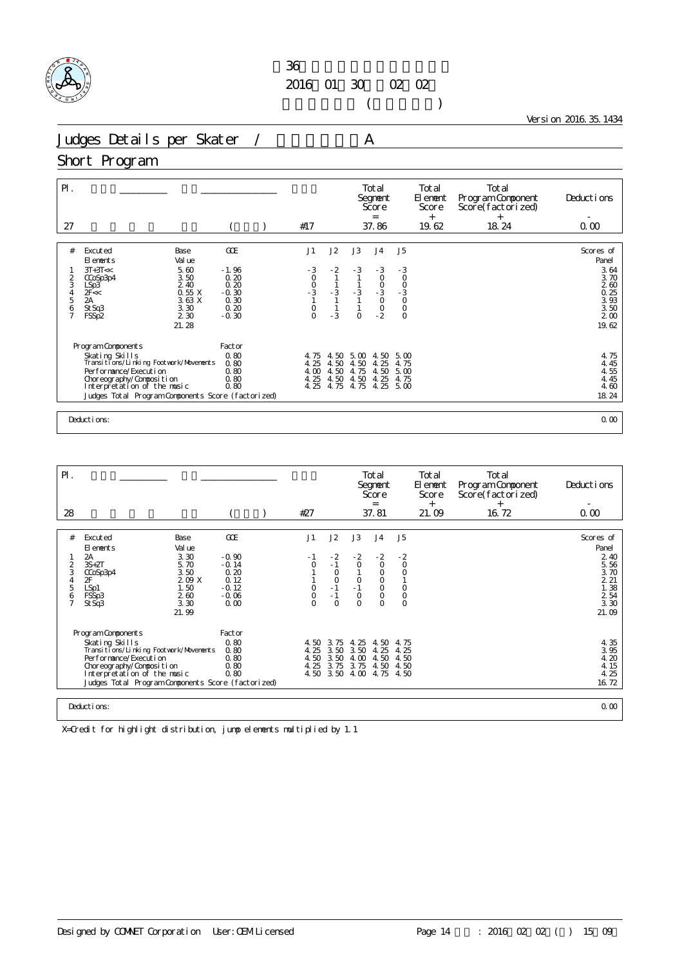

 $($ 

Version 2016.35.1434

Judges Details per Skater / A

### Short Program

| J2<br>GOE<br>J1<br>J3<br>J <sub>4</sub><br>J <sub>5</sub><br>#<br>Excuted<br>Base<br>Val ue<br>El ements<br>$-3$<br>5.60<br>$-3$<br>$-2$<br>$-3$<br>$-3$<br>$3T+3T<<$<br>$-1.96$<br>$0$<br>$-3$<br>$-3$<br>3.50<br>$\circ$<br>0.20<br>$\frac{2}{3}$<br>$\circ$<br>CCoSp3p4<br>0.20<br>$\frac{0}{3}$<br>$-3$<br>$-3$<br>2.40<br>LSp3<br>$-3$<br>$-3$<br>0.55X<br>$\frac{4}{5}$<br>$-0.30$<br>2F <<<br>2A<br>3.63 X<br>0.30<br>6<br>$\circ$<br>0.20<br>$\frac{0}{2}$<br>3.30<br>$\begin{matrix} 0 \\ 0 \end{matrix}$<br>St Sq3<br>$\overline{7}$<br>$-3$<br>$\circ$<br>2 3 0<br>$-0.30$<br>$\Omega$<br>FSSp2<br>21.28<br>Program Components<br>Factor<br>Skating Skills<br>Transitions/Linking Footwork/Movements<br>0.80<br>4.50<br>4.75<br>4.50<br>5.00<br>5.00<br>4.25<br>0.80<br>4.50<br>4.50<br>4.25<br>4.75<br>Per for mance/Execution<br>0.80<br>4.00<br>5.00<br>4.50<br>4.75<br>4.50<br>4.25<br>0.80<br>4.50<br>4.50<br>4.25<br>Choreography/Composition<br>4.75<br>Interpretation of the music<br>0.80<br>4.25<br>4.75<br>4.75<br>4.25<br>5.00<br>Judges Total Program Components Score (factorized) | $\mathsf{P}$ .<br>27 | #17 |  | Total<br>Segnent<br>Score<br>$=$<br>37.86 | Total<br>El ement<br>Score<br>$^{+}$<br>19.62 | Total<br>Program Component<br>Score(factorized)<br>$+$<br>18.24 | Deductions<br>0.00                                                                           |
|-------------------------------------------------------------------------------------------------------------------------------------------------------------------------------------------------------------------------------------------------------------------------------------------------------------------------------------------------------------------------------------------------------------------------------------------------------------------------------------------------------------------------------------------------------------------------------------------------------------------------------------------------------------------------------------------------------------------------------------------------------------------------------------------------------------------------------------------------------------------------------------------------------------------------------------------------------------------------------------------------------------------------------------------------------------------------------------------------------------|----------------------|-----|--|-------------------------------------------|-----------------------------------------------|-----------------------------------------------------------------|----------------------------------------------------------------------------------------------|
|                                                                                                                                                                                                                                                                                                                                                                                                                                                                                                                                                                                                                                                                                                                                                                                                                                                                                                                                                                                                                                                                                                             |                      |     |  |                                           |                                               |                                                                 | Scores of<br>Panel<br>3.64<br>3.70<br>260<br>0.25<br>3.93<br>3.50<br>2 <sub>0</sub><br>19.62 |
| Deductions:                                                                                                                                                                                                                                                                                                                                                                                                                                                                                                                                                                                                                                                                                                                                                                                                                                                                                                                                                                                                                                                                                                 |                      |     |  |                                           |                                               |                                                                 | 4.75<br>4.45<br>4.55<br>4.45<br>4.60<br>18.24<br>0.00                                        |

| $\mathsf{P}$ .                                       |                                                                                                                                                                                                                                |                                                                        |                                                                  |                                            |                                                                  |                                                           | Total<br>Segnent<br>Score<br>$=$                                      |                                                                        | Total<br>El ement<br>Score<br>$^{+}$ | Total<br>Program Component<br>Score(factorized)<br>$^{+}$ | Deductions                                                                                                 |
|------------------------------------------------------|--------------------------------------------------------------------------------------------------------------------------------------------------------------------------------------------------------------------------------|------------------------------------------------------------------------|------------------------------------------------------------------|--------------------------------------------|------------------------------------------------------------------|-----------------------------------------------------------|-----------------------------------------------------------------------|------------------------------------------------------------------------|--------------------------------------|-----------------------------------------------------------|------------------------------------------------------------------------------------------------------------|
| 28                                                   |                                                                                                                                                                                                                                |                                                                        |                                                                  | #27                                        |                                                                  |                                                           | 37.81                                                                 |                                                                        | 21.09                                | 16.72                                                     | 0.00                                                                                                       |
| #                                                    | Excuted                                                                                                                                                                                                                        | Base                                                                   | GOE                                                              | J1                                         | J2                                                               | J3                                                        | J <sub>4</sub>                                                        | J5                                                                     |                                      |                                                           | Scores of                                                                                                  |
| 2<br>3<br>$\overline{4}$<br>5<br>6<br>$\overline{7}$ | El ements<br>2А<br>$3S+2T$<br>CCoSp3p4<br>2F<br>LSp1<br>FSSp3<br>St Sq3                                                                                                                                                        | Val ue<br>3.30<br>5.70<br>3.50<br>209X<br>1.50<br>260<br>3.30<br>21.99 | $-0.90$<br>$-0.14$<br>0.20<br>0.12<br>$-0.12$<br>$-0.06$<br>0.00 | - 1<br>$\circ$<br>0<br>$\circ$<br>$\Omega$ | $\frac{-2}{1}$<br>$\circ$<br>$\circ$<br>$-1$<br>$-1$<br>$\Omega$ | $-2$<br>$\circ$<br>$\circ$<br>$-1$<br>$\circ$<br>$\Omega$ | $-2$<br>$\circ$<br>O<br>$\circ$<br>$\circ$<br>$\mathsf O$<br>$\Omega$ | $\frac{2}{0}$<br>$\Omega$<br>$\circ$<br>$\mathsf{O}\xspace$<br>$\circ$ |                                      |                                                           | Panel<br>$2,40$<br>5.56<br>3.70<br>221<br>1.38<br>$\begin{array}{c} 2 & 54 \\ 3 & 30 \end{array}$<br>21.09 |
|                                                      | Program Components<br>Skating Skills<br>Transi ti ons/Li nki ng Footvork/Movements<br>Per for mance/Execution<br>Choreography/Composition<br>Interpretation of the music<br>Judges Total Program Components Score (factorized) |                                                                        | Factor<br>0.80<br>0.80<br>0.80<br>0.80<br>0.80                   | 4.25<br>4.50<br>4.25                       | 4.50 3.75<br>3.50<br>3.50<br>3.75<br>4.50 3.50                   | 4.25<br>3.50<br>4.00<br>3.75<br>4.00                      | 4.50<br>4.25<br>4.50<br>4.50<br>4.75                                  | 4.75<br>4.25<br>4.50<br>4.50<br>4.50                                   |                                      |                                                           | 4.35<br>3.95<br>4.20<br>4.15<br>4.25<br>16.72                                                              |
|                                                      | Deductions:                                                                                                                                                                                                                    |                                                                        |                                                                  |                                            |                                                                  |                                                           |                                                                       |                                                                        |                                      |                                                           | 0.00                                                                                                       |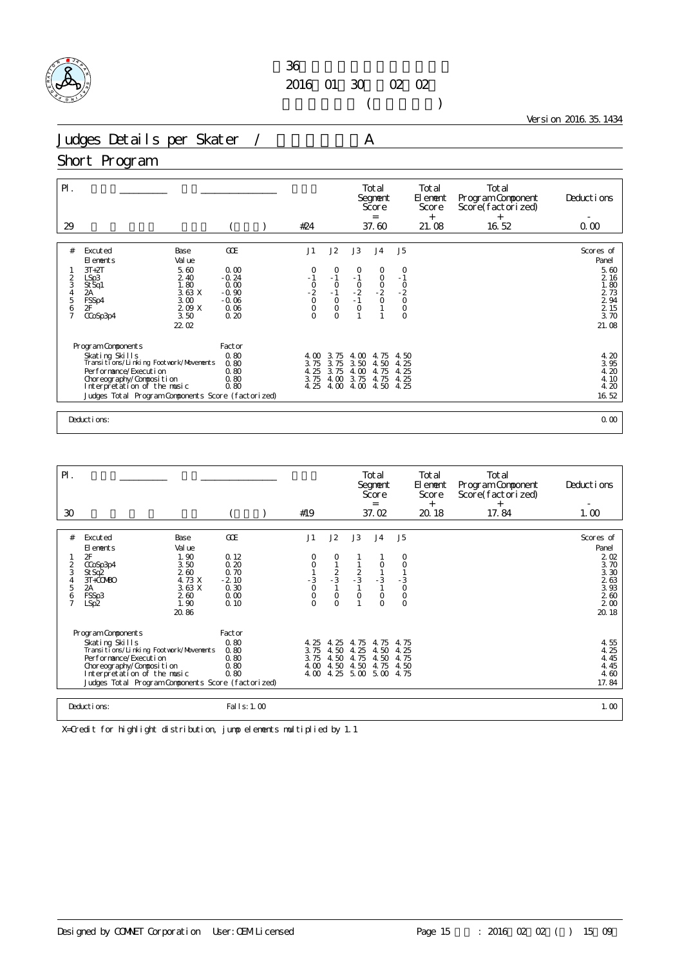

 $($ 

Version 2016.35.1434

Judges Details per Skater / A

### Short Program

| $P$ .<br>29                            |                                                                                                                                                                                                                            |                                                                      | #24                                                         |                                                                            |                                                          | Total<br>Segnent<br>Score<br>$=$<br>37.60                 |                                                                     | Total<br>El ement<br>Score<br>$+$<br>21.08 | Total<br>Program Component<br>Score(factorized)<br>$^{+}$<br>16.52 | Deductions<br>0.00                                                                              |
|----------------------------------------|----------------------------------------------------------------------------------------------------------------------------------------------------------------------------------------------------------------------------|----------------------------------------------------------------------|-------------------------------------------------------------|----------------------------------------------------------------------------|----------------------------------------------------------|-----------------------------------------------------------|---------------------------------------------------------------------|--------------------------------------------|--------------------------------------------------------------------|-------------------------------------------------------------------------------------------------|
| #<br>$\frac{2}{3}$<br>4<br>5<br>6<br>7 | Excuted<br>Base<br>Val ue<br>El ements<br>5.60<br>$3T+2T$<br>2.40<br>LSp3<br>1.80<br>St Sq1<br>3.63 X<br>2A<br>FSSp4<br>3.00<br>2F<br>209 X<br>3.50<br>CCoSp3p4<br>22.02                                                   | GOE<br>0.00<br>$-0.24$<br>0.00<br>$-0.90$<br>$-0.06$<br>0.06<br>0.20 | J1<br>0<br>$-1$<br>$-2$<br>$-2$<br>0<br>$\circ$<br>$\Omega$ | J2<br>$\circ$<br>$-1$<br>$\circ$<br>$-1$<br>$\circ$<br>$\circ$<br>$\Omega$ | J3<br>0<br>$-1$<br>$-2$<br>$-1$<br>$\circ$               | J <sub>4</sub><br>$\circ$<br>$\circ$<br>$-2$<br>$-2$<br>0 | J <sub>5</sub><br>$\circ$<br>$-1$<br>$-2$<br>$-2$<br>$0$<br>$\circ$ |                                            |                                                                    | Scores of<br>Panel<br>5.60<br>2 16<br>1.80<br>2 73<br>$\frac{2}{2}$ 94<br>2 15<br>3.70<br>21.08 |
|                                        | Program Components<br>Skating Skills<br>Transitions/Linking Footvork/Movements<br>Per for mance/Execution<br>Choreography/Composition<br>Interpretation of the music<br>Judges Total Program Components Score (factorized) | Factor<br>0.80<br>0.80<br>0.80<br>0.80<br>0.80                       | 4.00<br>3.75<br>4.25<br>3.75<br>4.25                        | 3.75<br>3.75<br>3.75<br>4.00<br>4.00                                       | $\infty$<br>4.<br>3.50<br>$\infty$<br>4.<br>3.75<br>4.00 | 75<br>4.<br>4.50<br>4.75<br>4.75<br>4.50                  | 4.50<br>4.25<br>25<br>4.<br>4.25<br>4.25                            |                                            |                                                                    | 4.20<br>3.95<br>4.20<br>4.10<br>4.20<br>16.52                                                   |
|                                        | Deductions:                                                                                                                                                                                                                |                                                                      |                                                             |                                                                            |                                                          |                                                           |                                                                     |                                            |                                                                    | 0.00                                                                                            |

| $\mathsf{P}$ .<br>30                         |                                                                                                                                                                                                                                |                                                                                    |                                                                | #19                                      |                                                 |                                                | Total<br>Segnent<br>Score<br>$=$<br>37.02                   |                                                              | Total<br>El ement<br>Score<br>$^{+}$<br>20.18 | Total<br>Program Component<br>Score(factorized)<br>$^{+}$<br>17.84 | Deductions<br>1.00                                                                          |
|----------------------------------------------|--------------------------------------------------------------------------------------------------------------------------------------------------------------------------------------------------------------------------------|------------------------------------------------------------------------------------|----------------------------------------------------------------|------------------------------------------|-------------------------------------------------|------------------------------------------------|-------------------------------------------------------------|--------------------------------------------------------------|-----------------------------------------------|--------------------------------------------------------------------|---------------------------------------------------------------------------------------------|
|                                              |                                                                                                                                                                                                                                |                                                                                    |                                                                |                                          |                                                 |                                                |                                                             |                                                              |                                               |                                                                    |                                                                                             |
| #<br>$\overline{2}$<br>3<br>4<br>5<br>6<br>7 | Excuted<br>El ements<br>2F<br>CCoSp3p4<br>St Sq2<br>$3T + CO$ $RO$<br>2A<br>FSSp3<br>LSp2                                                                                                                                      | Base<br>Val ue<br>1.90<br>3.50<br>2.60<br>4.73 X<br>3.63 X<br>260<br>1.90<br>20.86 | GOE<br>0.12<br>0.20<br>0.70<br>$-2.10$<br>0.30<br>0.00<br>0.10 | J1<br>O<br>$-3$<br>$\bar{0}$<br>$\Omega$ | J2<br>0<br>$\frac{2}{3}$<br>$\circ$<br>$\Omega$ | J3<br>$\frac{2}{3}$<br>$\mathbf{1}$<br>$\circ$ | J <sub>4</sub><br>0<br>$\frac{1}{3}$<br>$\circ$<br>$\Omega$ | J5<br>0<br>$\circ$<br>$-3$<br>$\circ$<br>$\circ$<br>$\Omega$ |                                               |                                                                    | Scores of<br>Panel<br>202<br>3.70<br>3.30<br>2.63<br>3.93<br>260<br>2 <sub>0</sub><br>20.18 |
|                                              | Program Components<br>Skating Skills<br>Transi ti ons/Li nki ng Footvork/Movements<br>Per for mance/Execution<br>Choreography/Composition<br>Interpretation of the music<br>Judges Total Program Components Score (factorized) |                                                                                    | Factor<br>0.80<br>0.80<br>0.80<br>0.80<br>0.80                 | 4.25<br>3.75<br>3.75<br>4.00<br>4.00     | 4.25<br>4.50<br>4.50<br>4.50<br>4.25            | 4.75<br>4.25<br>4.75<br>4.50<br>5.00           | 4.75<br>4.50<br>4.50<br>4.75<br>5.00                        | 4.75<br>4.25<br>4.75<br>4.50<br>4.75                         |                                               |                                                                    | 4.55<br>4.25<br>4.45<br>4.45<br>4.60<br>17.84                                               |
|                                              | Deductions:                                                                                                                                                                                                                    |                                                                                    | Fal I s: 1.00                                                  |                                          |                                                 |                                                |                                                             |                                                              |                                               |                                                                    | 1.00                                                                                        |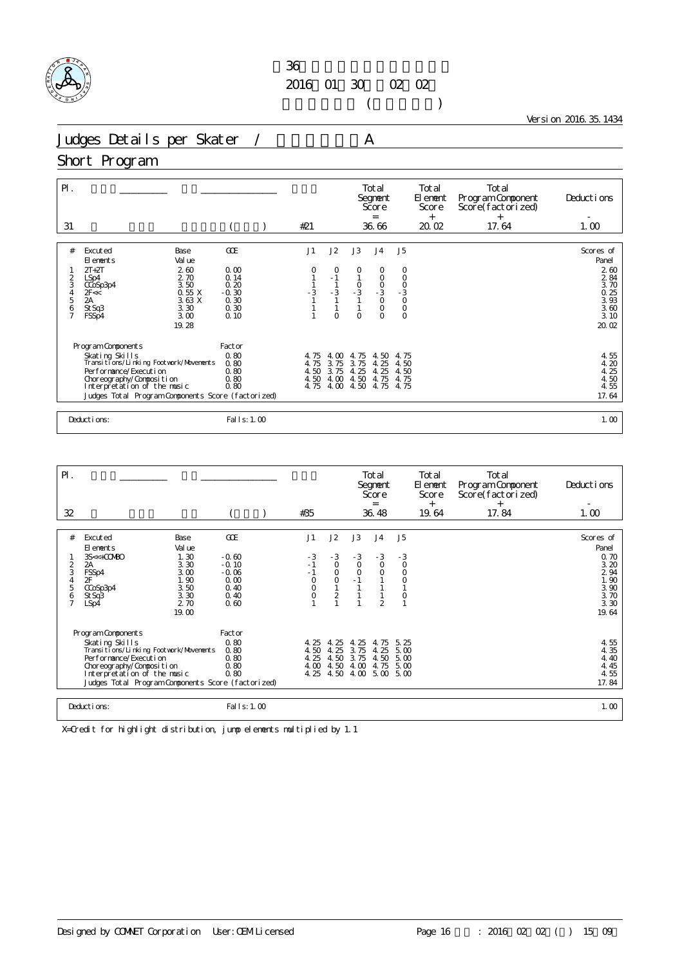

 $($ 

Version 2016.35.1434

Judges Details per Skater / A

#### Short Program

| $\mathsf{P}$ .<br>31                 |                                                                                                                       |                              |                                 | #21                          |                                                   |                              | Total<br>Segnent<br>Score<br>$=$<br>36.66    |                                   | Total<br>El ement<br>Score<br>$^{+}$<br>20.02 | Total<br>Program Component<br>Score(factorized)<br>$^{+}$<br>17.64 | Deductions<br>1.00               |
|--------------------------------------|-----------------------------------------------------------------------------------------------------------------------|------------------------------|---------------------------------|------------------------------|---------------------------------------------------|------------------------------|----------------------------------------------|-----------------------------------|-----------------------------------------------|--------------------------------------------------------------------|----------------------------------|
| #                                    | Excuted<br>El ements                                                                                                  | Base<br>Val ue               | GOE                             | J1                           | J2                                                | J3                           | J <sub>4</sub>                               | J5                                |                                               |                                                                    | Scores of<br>Panel               |
| $\frac{2}{3}$                        | $2T+2T$<br>LSp4<br>CCoSp3p4<br>2F<<                                                                                   | 260<br>2.70<br>3.50<br>0.55X | 0.00<br>0.14<br>0.20<br>$-0.30$ | O<br>$-3$                    | $\circ$<br>$-1$<br>$\mathbf{1}$<br>$-\frac{3}{1}$ | 0<br>$\frac{0}{-3}$          | 0<br>$\circ$<br>$-3$<br>$-3$<br>0            | 0<br>$\circ$<br>$-3$<br>$-3$<br>0 |                                               |                                                                    | 260<br>2 84<br>3.70              |
| $\frac{4}{5}$<br>6<br>$\overline{7}$ | 2A<br>St Sq3<br>FSSp4                                                                                                 | 3.63X<br>3.30<br>3.00        | 0.30<br>0.30<br>0.10            |                              | $\Omega$                                          | $\Omega$                     | $\circ$<br>$\Omega$                          | $\overline{0}$                    |                                               |                                                                    | $0.25$<br>$3.93$<br>3.60<br>3.10 |
|                                      | Program Components                                                                                                    | 19.28                        | Factor                          |                              |                                                   |                              |                                              |                                   |                                               |                                                                    | 20.02                            |
|                                      | Skating Skills<br>Transitions/Linking Footwork/Movements<br>Per for mance/Execution                                   |                              | 0.80<br>0.80<br>0.80<br>0.80    | 4.75<br>4.75<br>4.50<br>4.50 | 4.00<br>3.75<br>3.75<br>4.00                      | 4.75<br>3.75<br>4.25<br>4.50 | 4.50<br>4.25<br>25<br>$\overline{4}$<br>4.75 | 4.75<br>4.50<br>4.50<br>4.75      |                                               |                                                                    | 4.55<br>4.20<br>4.25<br>4.50     |
|                                      | Choreography/Composition<br>Interpretation of the music<br>0.80<br>Judges Total Program Components Score (factorized) |                              |                                 | 4.75                         | 4.00                                              | 4.50                         | 4.75                                         | 4.75                              |                                               |                                                                    | 4.55<br>17.64                    |
|                                      | Deductions:                                                                                                           |                              | Fal I s: 1.00                   |                              |                                                   |                              |                                              |                                   |                                               |                                                                    | 1.00                             |

| $\mathsf{P}$ .                          |                                                                                                                                                                                                                                |                                                                                 |                                                                      |                                                        |                                                               |                                          | Total<br>Segnent<br>Score<br>$=$                               |                                                                    | Total<br>El ement<br>Score | Total<br>Program Component<br>Score(factorized) | Deductions                                                                          |
|-----------------------------------------|--------------------------------------------------------------------------------------------------------------------------------------------------------------------------------------------------------------------------------|---------------------------------------------------------------------------------|----------------------------------------------------------------------|--------------------------------------------------------|---------------------------------------------------------------|------------------------------------------|----------------------------------------------------------------|--------------------------------------------------------------------|----------------------------|-------------------------------------------------|-------------------------------------------------------------------------------------|
| 32                                      |                                                                                                                                                                                                                                |                                                                                 |                                                                      | #35                                                    |                                                               |                                          | 36.48                                                          |                                                                    | $^{+}$<br>19.64            | $^{+}$<br>17.84                                 | 1.00                                                                                |
| #<br>$\overline{2}$<br>3<br>4<br>5<br>6 | Excuted<br>El ements<br>3S<<+COMBO<br>2A<br>FSSp4<br>2F<br>CCoSp3p4<br>St Sq3<br>LSp4                                                                                                                                          | Base<br>Val ue<br>1.30<br>3.30<br>3.00<br>1.90<br>3.50<br>3.30<br>2.70<br>19.00 | GOE<br>$-0.60$<br>$-0.10$<br>$-0.06$<br>0.00<br>0.40<br>0.40<br>0.60 | J1<br>- 3<br>$-1$<br>$-1$<br>$\circ$<br>$\overline{0}$ | J2<br>$-3$<br>$\circ$<br>$\circ$<br>$\circ$<br>$\overline{c}$ | J3<br>$-3$<br>O<br>$\circ$               | J <sub>4</sub><br>$-3$<br>$\circ$<br>$\circ$<br>$\overline{2}$ | J <sub>5</sub><br>$-3$<br>$\circ$<br>$\circ$<br>$\circ$<br>$\circ$ |                            |                                                 | Scores of<br>Panel<br>0.70<br>3.20<br>2 94<br>1.90<br>3.90<br>3.70<br>3.30<br>19.64 |
|                                         | Program Components<br>Skating Skills<br>Transi ti ons/Li nki ng Footvork/Movements<br>Per for mance/Execution<br>Choreography/Composition<br>Interpretation of the music<br>Judges Total Program Components Score (factorized) |                                                                                 |                                                                      | 4.25<br>4.50<br>4.25<br>4.00<br>4.25                   | 25<br>4.<br>4.25<br>4.50<br>4.50<br>4.50                      | 25<br>4.<br>3.75<br>3.75<br>4.00<br>4.00 | 75<br>4.<br>4.25<br>4.50<br>4.75<br>5.00                       | 5.25<br>5.00<br>5.00<br>5.00<br>5.00                               |                            |                                                 | 4.55<br>4.35<br>4.40<br>4.45<br>4.55<br>17.84                                       |
|                                         | Deductions:                                                                                                                                                                                                                    |                                                                                 | Fal I s: 1.00                                                        |                                                        |                                                               |                                          |                                                                |                                                                    |                            |                                                 | 1.00                                                                                |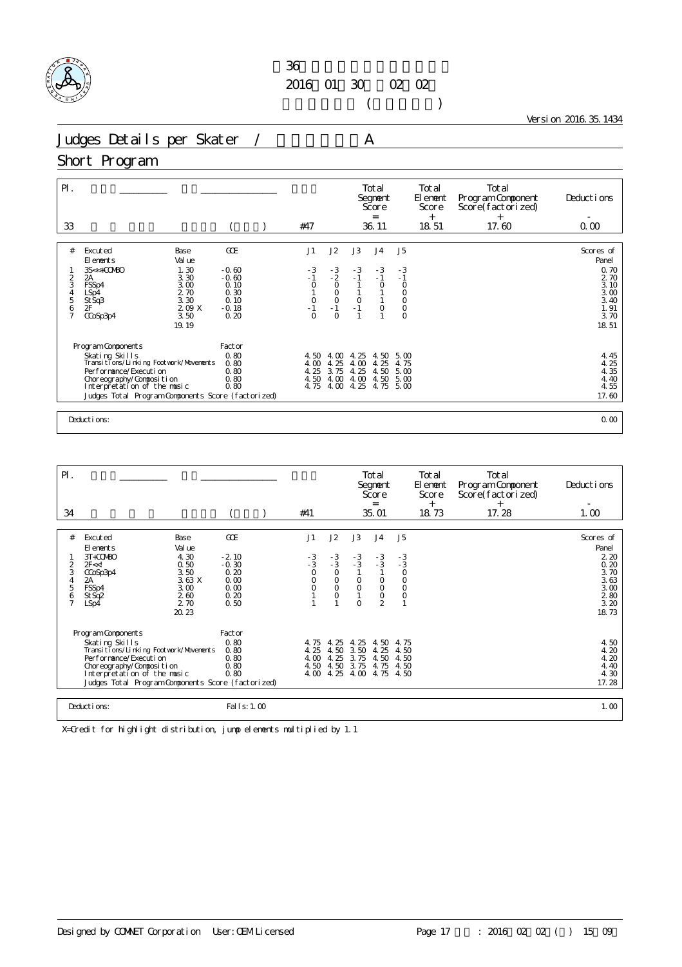

 $($ 

Version 2016.35.1434

Judges Details per Skater / A

### Short Program

| GOE<br>J1<br>J2<br>#<br>Excuted<br>Base<br>Val ue<br>El ements                                                                                                                                                                                                                                                                                                                                                                    | J3<br>J5<br>J <sub>4</sub><br>Scores of<br>Panel<br>$-3$<br>$-3$<br>$-3$<br>0.70<br>$-1$<br>$-1$<br>$-1$<br>2 70                                                              |
|-----------------------------------------------------------------------------------------------------------------------------------------------------------------------------------------------------------------------------------------------------------------------------------------------------------------------------------------------------------------------------------------------------------------------------------|-------------------------------------------------------------------------------------------------------------------------------------------------------------------------------|
| 1.30<br>$-3$<br>$3S<+OONBO$<br>$-3$<br>$-0.60$<br>$-2$<br>3.30<br>2<br>$-0.60$<br>$-1$<br>2A<br>3<br>$\circ$<br>$\circ$<br>3.00<br>0.10<br>FSSp4<br>2.70<br>0.30<br>$\begin{matrix} 0 \\ 0 \end{matrix}$<br>$\begin{array}{c} 4 \\ 5 \\ 6 \end{array}$<br>LSp4<br>StSq3<br>3.30<br>0.10<br>$\overline{0}$<br>-1<br>2F<br>2.09 X<br>$-0.18$<br>$-1$<br>$\overline{7}$<br>$\Omega$<br>3.50<br>0.20<br>$\Omega$<br>CCoSp3p4<br>19.19 | 3.10<br>$\circ$<br>$\circ$<br>$_{0}^{0}$<br>$3.00$<br>$3.40$<br>$\circ$<br>$\mathbf{1}$<br>$\circ$<br>$-1$<br>$\circ$<br>1.91<br>$\circ$<br>3.70<br>18.51                     |
| Program Components<br>Factor<br>0.80<br>Skating Skills<br>4.50<br>4.00<br>Transitions/Linking Footwork/Movements<br>0.80<br>4.00<br>4.25<br>Performance/Execution<br>0.80<br>4.25<br>3.75<br>0.80<br>4.50<br>4.00<br>Choreography/Composition<br>Interpretation of the music<br>0.80<br>4.75<br>4.00<br>Judges Total Program Components Score (factorized)<br>Deductions:                                                         | 4.25<br>4.50<br>4.45<br>4.25<br>5.00<br>4.00<br>4.25<br>4.75<br>4.35<br>4.25<br>4.50<br>5.00<br>4.40<br>4.00<br>4.50<br>5.00<br>4.25<br>4.55<br>4.75<br>5.00<br>17.60<br>0.00 |

| $\mathsf{P}$ .                     |                                                                 |                                                                |                                                            |  |                                                |                                                    |                                                | Total<br>Segnent<br>Score<br>$=$                                |                                                    | Total<br>El ement<br>Score<br>$^{+}$ | Total<br>Program Component<br>Score(factorized)<br>$^{+}$ | Deductions                                                  |
|------------------------------------|-----------------------------------------------------------------|----------------------------------------------------------------|------------------------------------------------------------|--|------------------------------------------------|----------------------------------------------------|------------------------------------------------|-----------------------------------------------------------------|----------------------------------------------------|--------------------------------------|-----------------------------------------------------------|-------------------------------------------------------------|
| 34                                 |                                                                 |                                                                |                                                            |  | #41                                            |                                                    |                                                | 35.01                                                           |                                                    | 18.73                                | 17.28                                                     | 1.00                                                        |
|                                    |                                                                 |                                                                |                                                            |  |                                                |                                                    |                                                |                                                                 |                                                    |                                      |                                                           |                                                             |
| #                                  | Excuted<br>El ements                                            | Base<br>Val ue                                                 | GOE                                                        |  | J1                                             | J2                                                 | J3                                             | J <sub>4</sub>                                                  | J <sub>5</sub>                                     |                                      |                                                           | Scores of<br>Panel                                          |
| $\overline{2}$<br>3<br>4<br>5<br>6 | 3T+COMBO<br>2F < d<br>CCoSp3p4<br>2A<br>FSSp4<br>St Sq2<br>LSp4 | 4.30<br>0.50<br>3.50<br>3.63X<br>3.00<br>260<br>2.70<br>20, 23 | $-2.10$<br>$-0.30$<br>0.20<br>0.00<br>0.00<br>0.20<br>0.50 |  | $-3$<br>$-3$<br>O<br>$\circ$<br>$\overline{O}$ | $-3/3$<br>$\circ$<br>$\circ$<br>$\circ$<br>$\circ$ | $-3$<br>$-3$<br>$\circ$<br>$\circ$<br>$\Omega$ | $-3$<br>$-3$<br>$\circ$<br>$\circ$<br>$\circ$<br>$\overline{2}$ | $-3$<br>$-3$<br>O<br>$\circ$<br>$\circ$<br>$\circ$ |                                      |                                                           | 220<br>0.20<br>3.70<br>3.63<br>3.00<br>280<br>3.20<br>18.73 |
|                                    | Program Components                                              |                                                                | Factor                                                     |  |                                                |                                                    |                                                |                                                                 |                                                    |                                      |                                                           |                                                             |
|                                    | Skating Skills<br>Transi ti ons/Li nki ng Footvork/Movements    |                                                                | 0.80<br>0.80                                               |  | 4.75<br>4.25                                   | 4.25<br>4.50                                       | 4.25<br>3.50                                   | 4.50<br>4.25                                                    | 4.75<br>4.50                                       |                                      |                                                           | 4.50<br>4.20                                                |
|                                    | Per for mance/Execution                                         |                                                                | 0.80                                                       |  | 4.00                                           | 4.25                                               | 3.75                                           | 4.50                                                            | 4.50                                               |                                      |                                                           | 4.20                                                        |
|                                    | Choreography/Composition<br>Interpretation of the music         |                                                                | 0.80<br>0.80                                               |  | 4.50                                           | 4.50<br>4.00 4.25                                  | 3.75<br>4.00                                   | 4.75<br>4.75                                                    | 4.50<br>4.50                                       |                                      |                                                           | 4.40<br>4.30                                                |
|                                    | Judges Total Program Components Score (factorized)              |                                                                |                                                            |  |                                                |                                                    |                                                |                                                                 |                                                    |                                      |                                                           | 17.28                                                       |
|                                    |                                                                 |                                                                |                                                            |  |                                                |                                                    |                                                |                                                                 |                                                    |                                      |                                                           |                                                             |
|                                    | Deductions:                                                     |                                                                | Fal I s: 1.00                                              |  |                                                |                                                    |                                                |                                                                 |                                                    |                                      |                                                           | 1.00                                                        |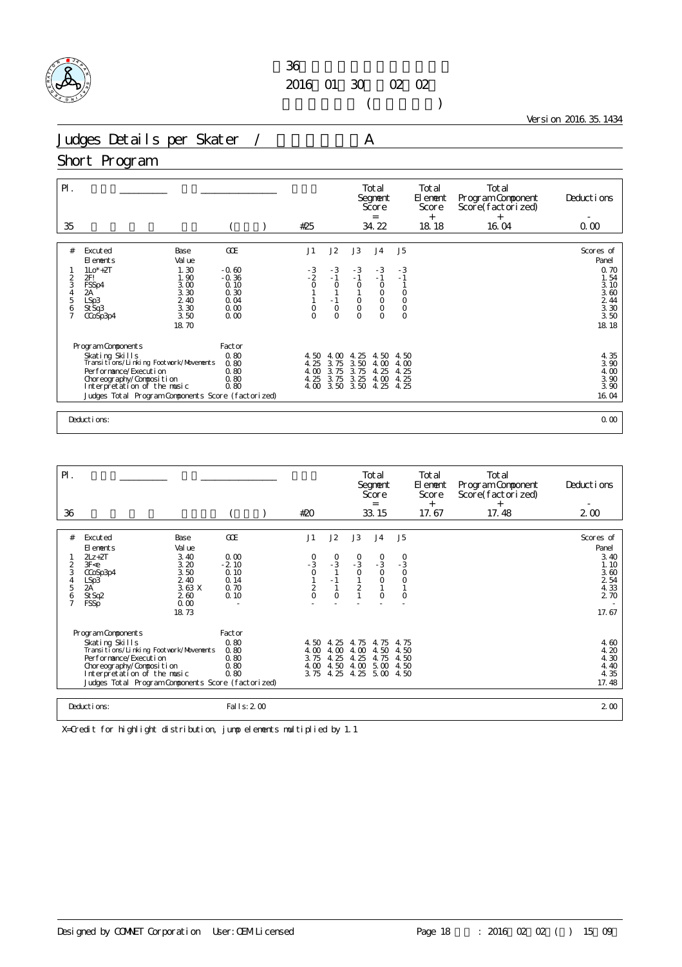

 $($ 

Version 2016.35.1434

Judges Details per Skater / A

#### Short Program

| $\mathsf{P}$ .<br>35                         |                                                                                                                                                                                                                            |                                                                   | #25                                                  |                                                                    |                                                                    | Total<br>Segnent<br>Score<br>$=$<br>34.22                                             |                                                                            | Total<br>El ement<br>Score<br>$^{+}$<br>18.18 | Total<br>Program Component<br>Score(factorized)<br>$^{+}$<br>16.04 | Deductions<br>0.00                                                                        |
|----------------------------------------------|----------------------------------------------------------------------------------------------------------------------------------------------------------------------------------------------------------------------------|-------------------------------------------------------------------|------------------------------------------------------|--------------------------------------------------------------------|--------------------------------------------------------------------|---------------------------------------------------------------------------------------|----------------------------------------------------------------------------|-----------------------------------------------|--------------------------------------------------------------------|-------------------------------------------------------------------------------------------|
| #<br>2<br>3<br>4<br>5<br>6<br>$\overline{7}$ | Excuted<br>Base<br>Val ue<br>El ements<br>1.30<br>$1Lo*+2T$<br>2FI<br>1.90<br>3.00<br>FSSp4<br>3.30<br>2А<br>LSp3<br>2.40<br>3.30<br>St Sq3<br>3.50<br>CCoSp3p4<br>18.70                                                   | GOE<br>$-0.60$<br>$-0.36$<br>0.10<br>0.30<br>0.04<br>0.00<br>0.00 | J1<br>$-3$<br>- 2<br>$\overline{O}$<br>0<br>$\Omega$ | J2<br>$-3$<br>$-1$<br>$\circ$<br>$-1$<br>$\circ$<br>$\overline{O}$ | J3<br>$-3$<br>$-1$<br>$\circ$<br>$\mathsf O$<br>$\circ$<br>$\circ$ | J <sub>4</sub><br>$-3$<br>$-1$<br>$\circ$<br>$_{\rm O}^{\rm O}$<br>$\circ$<br>$\circ$ | J <sub>5</sub><br>$-3$<br>$-1$<br>$_{\rm O}^{\rm O}$<br>$\circ$<br>$\circ$ |                                               |                                                                    | Scores of<br>Panel<br>0.70<br>1.54<br>3.10<br>$3.60$<br>$2.44$<br>$3.30$<br>3.50<br>18.18 |
|                                              | Program Components<br>Skating Skills<br>Transitions/Linking Footwork/Movements<br>Per for mance/Execution<br>Choreography/Composition<br>Interpretation of the music<br>Judges Total Program Components Score (factorized) | Factor<br>0.80<br>0.80<br>0.80<br>0.80<br>0.80                    | 4.50<br>4.25<br>4.00<br>4.25<br>4.00                 | 4.00<br>3.75<br>3.75<br>3.75                                       | 4.25<br>3.50<br>3.75<br>3.25<br>3.50 3.50                          | 4.50<br>4.00<br>4.25<br>4.00<br>4.25                                                  | 4.50<br>4.00<br>4.25<br>4.25<br>4.25                                       |                                               |                                                                    | $\frac{4}{3}$ , $\frac{35}{90}$<br>4.00<br>3.90<br>3.90<br>16.04                          |
|                                              | Deductions:                                                                                                                                                                                                                |                                                                   |                                                      |                                                                    |                                                                    |                                                                                       |                                                                            |                                               |                                                                    | 0.00                                                                                      |

| $\mathsf{P}$ .      |                                                                                           |                      |                         |               |              |                                | Total<br>Segnent<br>Score<br>$=$ |                                             | Total<br>El enent<br>Score<br>$^{+}$ | Total<br>Program Component<br>Score(factorized)<br>$^{+}$ | Deductions           |
|---------------------|-------------------------------------------------------------------------------------------|----------------------|-------------------------|---------------|--------------|--------------------------------|----------------------------------|---------------------------------------------|--------------------------------------|-----------------------------------------------------------|----------------------|
| 36                  |                                                                                           |                      |                         | #20           |              |                                | 33.15                            |                                             | 17.67                                | 17.48                                                     | $2\omega$            |
| #                   | Excuted                                                                                   | Base                 | GOE                     | J1            | J2           | J3                             | J <sub>4</sub>                   | J5                                          |                                      |                                                           | Scores of            |
|                     | El ements                                                                                 | Val ue               |                         |               |              |                                |                                  |                                             |                                      |                                                           | Panel                |
| 2<br>3              | $2Lz + 2T$<br>3F < e<br>CCoSp3p4                                                          | 3.40<br>3.20<br>3.50 | 0.00<br>$-2.10$<br>0.10 | $-3$<br>0     | $^{0}_{-3}$  | $\frac{0}{3}$<br>$\circ$       | $^{0}_{-3}$<br>$\circ$           | $\begin{array}{c} 0 \\ -3 \\ 0 \end{array}$ |                                      |                                                           | 3.40<br>1.10<br>3.60 |
| 4<br>5              | LSp3<br>2A                                                                                | 2.40<br>3.63 X       | 0.14<br>0.70            |               | $-1$         | $\mathbf{1}$<br>$\overline{c}$ | $\circ$                          | $\circ$                                     |                                      |                                                           | 2 54<br>4.33         |
| 6<br>$\overline{7}$ | St Sq2<br><b>FSSp</b>                                                                     | 260<br>0.00          | 0.10                    | $\frac{2}{0}$ | $\circ$      |                                | $\overline{O}$                   | $\circ$                                     |                                      |                                                           | 2 70                 |
|                     |                                                                                           | 18.73                |                         |               |              |                                |                                  |                                             |                                      |                                                           | 17.67                |
|                     | Program Components                                                                        |                      | Factor                  |               |              |                                |                                  |                                             |                                      |                                                           |                      |
|                     | Skating Skills<br>Transi ti ons/Li nki ng Footvork/Movements                              |                      | 0.80                    | 4.50          | 4.25         | 4.75<br>4 <sub>0</sub>         | 4.75<br>4.50                     | 4.75<br>4.50                                |                                      |                                                           | 4.60                 |
|                     | Per for mance/Execution                                                                   |                      | 0.80<br>0.80            | 4.00<br>3.75  | 4.00<br>4.25 | 4.25                           | 4.75                             | 4.50                                        |                                      |                                                           | 4.20<br>4.30         |
|                     | Choreography/Composition                                                                  |                      | 0.80                    |               | 4.00 4.50    | 4.00                           | 5.00                             | 4.50                                        |                                      |                                                           | 4.40                 |
|                     | 0.80<br>Interpretation of the music<br>Judges Total Program Components Score (factorized) |                      |                         | 3.75          | 4.25         | 4.25                           | 5.00                             | 4.50                                        |                                      |                                                           | 4.35<br>17.48        |
|                     |                                                                                           |                      |                         |               |              |                                |                                  |                                             |                                      |                                                           |                      |
|                     | Deductions:                                                                               |                      | Fal I s: 2 00           |               |              |                                |                                  |                                             |                                      |                                                           | 2 <sub>0</sub>       |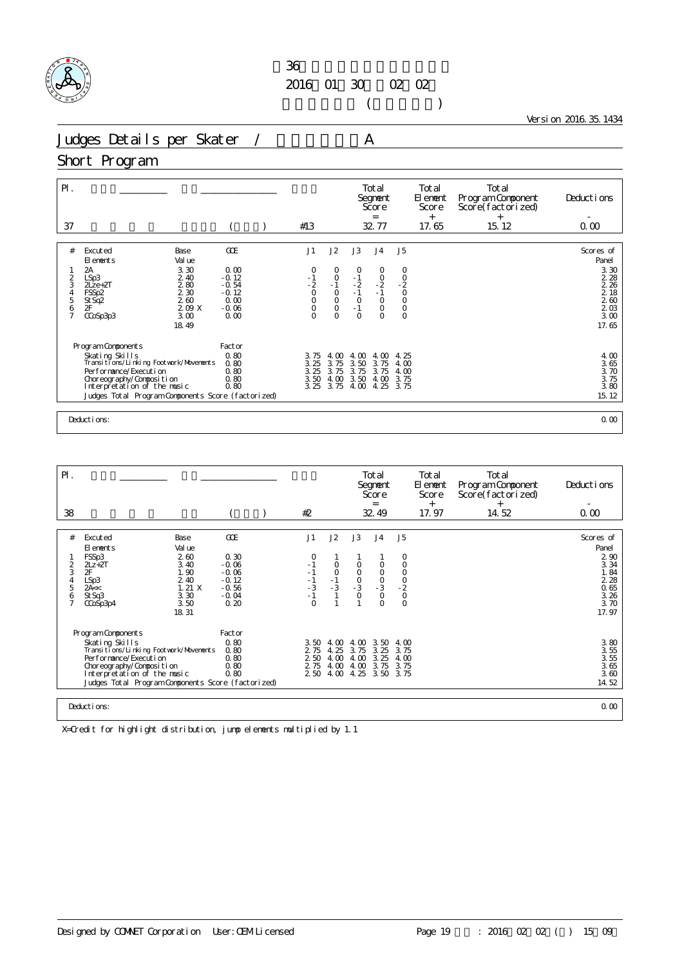

 $($ 

Version 2016.35.1434

Judges Details per Skater / A

### Short Program

| GOE<br>J1<br>J2<br>J3<br>#<br>Excuted<br>J <sub>4</sub><br>Base<br>Val ue<br>El ements                                                                                                                                                                                                                                                                                                                                                                                                                                                                       | J5<br>Scores of<br>Panel                                                                                                     |
|--------------------------------------------------------------------------------------------------------------------------------------------------------------------------------------------------------------------------------------------------------------------------------------------------------------------------------------------------------------------------------------------------------------------------------------------------------------------------------------------------------------------------------------------------------------|------------------------------------------------------------------------------------------------------------------------------|
| 3.30<br>2A<br>0.00<br>0<br>0<br>0<br>0<br>$-0.12$<br>2.40<br>$-1$<br>$-2$<br>0<br>0<br>$\begin{matrix} 0 \\ -1 \end{matrix}$<br>$\frac{-1}{2}$<br>$\frac{0}{2}$<br>2<br>LSp3<br>3<br>280<br>$-0.54$<br>$2$ Lze+ $2T$<br>$\overline{\overline{1}}$<br>$\overline{\overline{1}}$<br>0<br>$\begin{matrix} 0 \\ 0 \end{matrix}$<br>2 3 0<br>$-0.12$<br>FSSp2<br>4<br>5<br>2.60<br>0.00<br>St Sq2<br>2F<br>$\circ$<br>2.09 X<br>$-1$<br>6<br>$\circ$<br>$-0.06$<br>$\circ$<br>$\circ$<br>7<br>3.00<br>0.00<br>$\Omega$<br>$\circ$<br>$\circ$<br>CCoSp3p3<br>18.49 | 3.30<br>0<br>$-2$<br>0<br>0<br>2 2 8<br>2 26<br>$218$<br>$260$<br>$203$<br>$300$<br>$\circ$<br>$\circ$<br>17.65              |
| Program Components<br>Factor<br>0.80<br>Skating Skills<br>4.00<br>4.00<br>4.00<br>3.75<br>Transitions/Linking Footwork/Movements<br>0.80<br>3.75<br>3.50<br>3.25<br>3.75<br>3.25<br>3.75<br>Performance/Execution<br>0.80<br>3.75<br>3.75<br>0.80<br>3.50<br>Choreography/Composition<br>4.00<br>3.50<br>4.00<br>Interpretation of the music<br>0.80<br>3.25<br>3.75<br>4.00<br>4.25<br>Judges Total Program Components Score (factorized)<br>Deductions:                                                                                                    | $\begin{array}{c} 4.00 \\ 3.65 \end{array}$<br>4.25<br>4.00<br>3.70<br>4.00<br>3.75<br>3.75<br>3.80<br>3.75<br>15.12<br>0.00 |

| $\mathsf{P}$ .      |                                                         |              |                 |                  |              |               | Total<br>Segnent<br>Score<br>$=$ |                                      | Total<br>El enent<br>Score<br>$^{+}$ | Total<br>Program Component<br>Score(factorized)<br>$^{+}$ | Deductions                      |
|---------------------|---------------------------------------------------------|--------------|-----------------|------------------|--------------|---------------|----------------------------------|--------------------------------------|--------------------------------------|-----------------------------------------------------------|---------------------------------|
| 38                  |                                                         |              |                 | #2               |              |               | 32.49                            |                                      | 17.97                                | 14.52                                                     | 0.00                            |
|                     |                                                         |              |                 |                  |              |               |                                  |                                      |                                      |                                                           |                                 |
| #                   | Excuted                                                 | Base         | GOE             | J1               | J2           | J3            | J <sub>4</sub>                   | J <sub>5</sub>                       |                                      |                                                           | Scores of                       |
|                     | El ements                                               | Val ue       |                 |                  |              |               |                                  |                                      |                                      |                                                           | Panel                           |
| 2                   | FSSp3<br>$2Lz + 2T$                                     | 260<br>3.40  | 0.30<br>$-0.06$ | 0<br>$-1$        | O            |               |                                  | 0<br>O                               |                                      |                                                           | 290<br>3.34                     |
| 3                   | 2F                                                      | 1.90         | $-0.06$         | $-1$             | $\circ$      | O<br>$\circ$  | O<br>$\circ$                     | $\mathsf O$                          |                                      |                                                           | 1.84                            |
| 4                   | LSp3                                                    | 2.40         | $-0.12$         | $-1$             | $-1$<br>$-3$ | $\frac{0}{3}$ | $\frac{0}{3}$                    | $\frac{0}{2}$                        |                                      |                                                           | 2 2 8                           |
| 5                   | 2A <                                                    | 1.21X        | $-0.56$         | $-3$             |              |               |                                  |                                      |                                      |                                                           | 0.65                            |
| 6<br>$\overline{7}$ | St Sq3<br>CCoSp3p4                                      | 3.30<br>3.50 | $-0.04$<br>0.20 | $-1$<br>$\Omega$ |              | $\circ$       | $\circ$<br>$\Omega$              | $\begin{matrix} 0 \\ 0 \end{matrix}$ |                                      |                                                           | $\frac{3}{3}$ $\frac{26}{70}$   |
|                     |                                                         | 18.31        |                 |                  |              |               |                                  |                                      |                                      |                                                           | 17.97                           |
|                     |                                                         |              |                 |                  |              |               |                                  |                                      |                                      |                                                           |                                 |
|                     | Program Components                                      |              | Factor          |                  |              |               |                                  |                                      |                                      |                                                           |                                 |
|                     | Skating Skills                                          |              | 0.80            | 3.50             | 4.00         | 4. CO         | 3.50                             | 4.00                                 |                                      |                                                           | $380$<br>$355$<br>$355$<br>$36$ |
|                     | Transi ti ons/Li nki ng Footvork/Movements              |              | 0.80            | 2 75             | 4.25         | 3.75          | 3.25                             | 3.75                                 |                                      |                                                           |                                 |
|                     | Per for mance/Execution                                 |              | 0.80<br>0.80    | 2 50<br>2 75     | 4.00<br>4.00 | 4.00<br>4.00  | 3.25<br>3.75                     | 4.00<br>3.75                         |                                      |                                                           |                                 |
|                     | Choreography/Composition<br>Interpretation of the music |              | 0.80            | 2 50             | 4.00         | 4.25          | 3.50                             | 3.75                                 |                                      |                                                           | 3.60                            |
|                     | Judges Total Program Components Score (factorized)      |              |                 |                  |              |               |                                  |                                      |                                      |                                                           | 14.52                           |
|                     |                                                         |              |                 |                  |              |               |                                  |                                      |                                      |                                                           |                                 |
|                     | Deductions:                                             |              |                 |                  |              |               |                                  |                                      |                                      |                                                           | 0.00                            |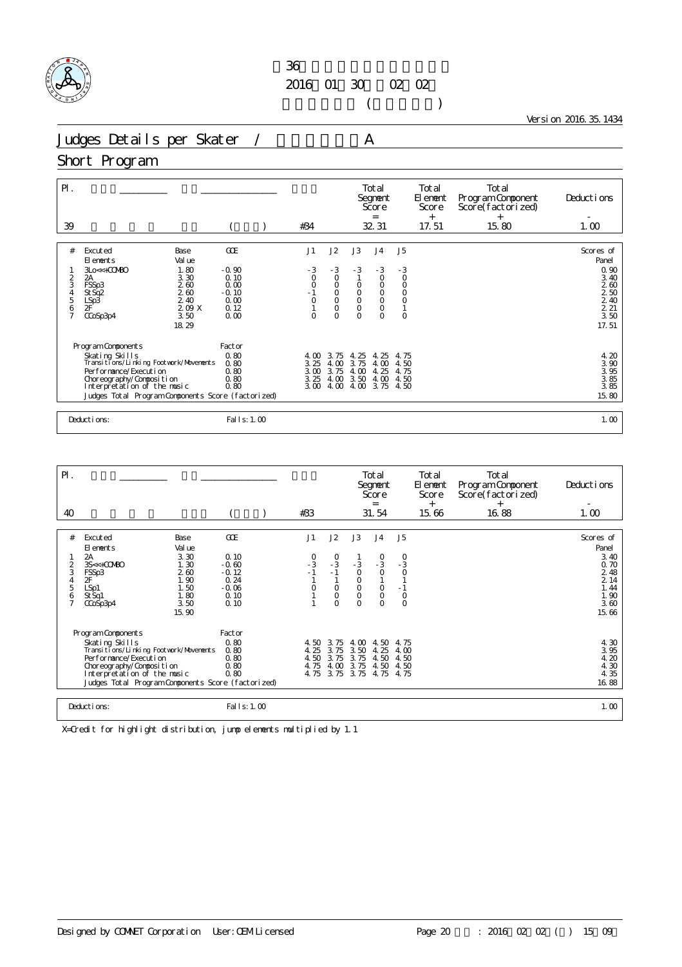

 $($ 

Version 2016.35.1434

Judges Details per Skater / A

#### Short Program

| $P$ .<br>39                              |                                                                                                                                                                                                                          |                                                               |                                                            | #34                                                              |                                                                         |                                                                                    | Total<br>Segnent<br>Score<br>$=$<br>32 31                               |                                                             | Total<br>El ement<br>Score<br>$^{+}$<br>17.51 | Total<br>Program Component<br>Score(factorized)<br>$^{+}$<br>15.80 | Deductions<br>1.00                                                            |
|------------------------------------------|--------------------------------------------------------------------------------------------------------------------------------------------------------------------------------------------------------------------------|---------------------------------------------------------------|------------------------------------------------------------|------------------------------------------------------------------|-------------------------------------------------------------------------|------------------------------------------------------------------------------------|-------------------------------------------------------------------------|-------------------------------------------------------------|-----------------------------------------------|--------------------------------------------------------------------|-------------------------------------------------------------------------------|
| #                                        | Excuted<br>El ements                                                                                                                                                                                                     | Base<br>Val ue                                                | GOE                                                        | J1                                                               | J2                                                                      | J3                                                                                 | J <sub>4</sub>                                                          | J <sub>5</sub>                                              |                                               |                                                                    | Scores of<br>Panel                                                            |
| 2<br>3<br>$\frac{4}{5}$<br>$\frac{6}{7}$ | 3Lo<<+COMBO<br>2A<br>FSSp3<br>St Sq2<br>LSp3<br>2F<br>CCoSp3p4                                                                                                                                                           | 1.80<br>3.30<br>2.60<br>2.60<br>2.40<br>209X<br>3.50<br>18.29 | $-0.90$<br>0.10<br>0.00<br>$-0.10$<br>0.00<br>0.12<br>0.00 | $-3$<br>$\circ$<br>$\overline{O}$<br>$-1$<br>$\circ$<br>$\Omega$ | $-3$<br>$\circ$<br>$\circ$<br>$\circ$<br>$\circ$<br>$\circ$<br>$\Omega$ | $-3$<br>$\circ$<br>$\begin{matrix} 0 \\ 0 \end{matrix}$<br>$\mathsf O$<br>$\Omega$ | $-3$<br>$\circ$<br>$\circ$<br>$_{\rm O}^{\rm O}$<br>$\circ$<br>$\Omega$ | $-3$<br>$\circ$<br>$\circ$<br>$\circ$<br>$\circ$<br>$\circ$ |                                               |                                                                    | 0.90<br>3.40<br>260<br>$\frac{2}{2}$ $\frac{50}{40}$<br>2.21<br>3.50<br>17.51 |
|                                          | Program Components<br>Skating Skills<br>Transitions/Linking Footwork/Movements<br>Performance/Execution<br>Choreography/Composition<br>Interpretation of the music<br>Judges Total Program Components Score (factorized) |                                                               | Factor<br>0.80<br>0.80<br>0.80<br>0.80<br>0.80             | 4.00<br>3.25<br>3.00<br>3.25<br>3.00                             | 3.75<br>4.00<br>3.75<br>4.00<br>4.00                                    | 4.25<br>3.75<br>4.00<br>3.50<br>4.00                                               | -25<br>4.<br>4.00<br>4.25<br>4.00<br>3.75                               | 4.75<br>4.50<br>4.75<br>4.50<br>4.50                        |                                               |                                                                    | 4.20<br>$\frac{3}{3}$ $\frac{90}{95}$<br>3.85<br>3.85<br>15.80                |
|                                          | Deductions:                                                                                                                                                                                                              |                                                               | Fal I s: 1.00                                              |                                                                  |                                                                         |                                                                                    |                                                                         |                                                             |                                               |                                                                    | 1.00                                                                          |

| $\mathsf{P}$ .                          |                                                                                                                                                                                                                                |                                                                                |                                                                      |                                      |                                                                                          |                                                                                | Total<br>Segnent<br>Score<br>$=$                                                                           |                                                                          | Total<br>El ement<br>Score | Total<br>Program Component<br>Score(factorized) | Deductions                                                                         |
|-----------------------------------------|--------------------------------------------------------------------------------------------------------------------------------------------------------------------------------------------------------------------------------|--------------------------------------------------------------------------------|----------------------------------------------------------------------|--------------------------------------|------------------------------------------------------------------------------------------|--------------------------------------------------------------------------------|------------------------------------------------------------------------------------------------------------|--------------------------------------------------------------------------|----------------------------|-------------------------------------------------|------------------------------------------------------------------------------------|
| 40                                      |                                                                                                                                                                                                                                |                                                                                |                                                                      | #33                                  |                                                                                          |                                                                                | 31.54                                                                                                      |                                                                          | $^{+}$<br>15.66            | $^{+}$<br>16.88                                 | 1.00                                                                               |
| #<br>$\overline{2}$<br>3<br>4<br>5<br>6 | Excuted<br>El ements<br>2A<br>3S<<+COMBO<br>FSSp3<br>2F<br>LSp1<br>St Sq1<br>CCoSp3p4                                                                                                                                          | Base<br>Val ue<br>3.30<br>1.30<br>260<br>1.90<br>1.50<br>1.80<br>3.50<br>15.90 | GOE<br>0.10<br>$-0.60$<br>$-0.12$<br>0.24<br>$-0.06$<br>0.10<br>0.10 | J1<br>$-3 - 1$<br>O                  | J2<br>$\begin{array}{c} 0 \\ -3 \\ -1 \end{array}$<br>$\circ$<br>$\mathsf O$<br>$\Omega$ | J3<br>$-3$<br>$\circ$<br>$_{\rm O}^{\rm O}$<br>$\mathsf{O}\xspace$<br>$\Omega$ | J <sub>4</sub><br>$\begin{smallmatrix}0\\-3\end{smallmatrix}$<br>$\circ$<br>$\circ$<br>$\circ$<br>$\Omega$ | J <sub>5</sub><br>$\frac{0}{3}$<br>$\circ$<br>$-1$<br>$\circ$<br>$\circ$ |                            |                                                 | Scores of<br>Panel<br>3.40<br>0.70<br>2 48<br>214<br>1.44<br>1.90<br>3.60<br>15.66 |
|                                         | Program Components<br>Skating Skills<br>Transi ti ons/Li nki ng Footvork/Movements<br>Per for mance/Execution<br>Choreography/Composition<br>Interpretation of the music<br>Judges Total Program Components Score (factorized) |                                                                                | Factor<br>0.80<br>0.80<br>0.80<br>0.80<br>0.80                       | 4.50<br>4.25<br>4.50<br>4.75<br>4.75 | 3.75<br>3.75<br>3.75<br>4.00<br>3.75                                                     | 4.00<br>3.50<br>3.75<br>3.75<br>3.75                                           | 4.50<br>4.25<br>4.50<br>4.50<br>4.75                                                                       | 4.75<br>4.00<br>4.50<br>4.50<br>4.75                                     |                            |                                                 | 4.30<br>3.95<br>4.20<br>4.30<br>4.35<br>16.88                                      |
|                                         | Deductions:                                                                                                                                                                                                                    |                                                                                | Fal I s: 1.00                                                        |                                      |                                                                                          |                                                                                |                                                                                                            |                                                                          |                            |                                                 | 1.00                                                                               |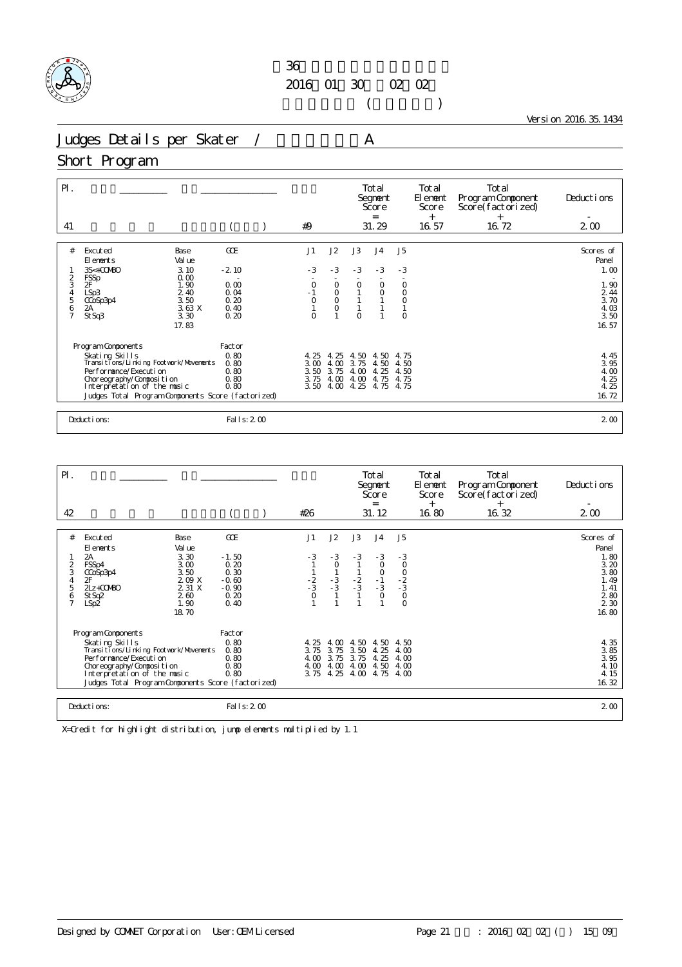

 $($ 

Version 2016.35.1434

Judges Details per Skater / A

### Short Program

| $P$ .                                                 |                                                                                                                                                                                                                            |                                                        |                                                |                                      |                                                 |                                      | Total<br>Segnent<br>Score<br>$=$        |                                                  | Total<br>El ement<br>Score<br>$^{+}$ | Total<br>Program Component<br>Score(factorized)<br>$+$ | Deductions                                                       |
|-------------------------------------------------------|----------------------------------------------------------------------------------------------------------------------------------------------------------------------------------------------------------------------------|--------------------------------------------------------|------------------------------------------------|--------------------------------------|-------------------------------------------------|--------------------------------------|-----------------------------------------|--------------------------------------------------|--------------------------------------|--------------------------------------------------------|------------------------------------------------------------------|
| 41                                                    |                                                                                                                                                                                                                            |                                                        |                                                | #9                                   |                                                 |                                      | 31.29                                   |                                                  | 16.57                                | 16.72                                                  | $2\omega$                                                        |
| #                                                     | Excuted<br>El ements<br>$3S<+00MBO$                                                                                                                                                                                        | Base<br>Val ue<br>3.10                                 | GOE<br>$-2.10$                                 | J1<br>$-3$                           | J2<br>$-3$                                      | J3<br>$-3$                           | J <sub>4</sub><br>$-3$                  | J <sub>5</sub><br>$-3$                           |                                      |                                                        | Scores of<br>Panel<br>1.00                                       |
| $\frac{2}{3}$<br>$\frac{4}{5}$<br>6<br>$\overline{7}$ | <b>FSSp</b><br><b>OF</b><br>LSp3<br>CCoSp3p4<br>2A<br>St Sq3                                                                                                                                                               | 0.00<br>1.90<br>2.40<br>3.50<br>3.63X<br>3.30<br>17.83 | 0.00<br>0.04<br>0.20<br>0.40<br>0.20           | $\circ$<br>$\bar{0}$<br>$\Omega$     | $\circ$<br>$_{\rm O}^{\rm O}$<br>$\overline{O}$ | $\Omega$<br>$\Omega$                 | $\circ$<br>$\circ$                      | $\circ$<br>$\circ$<br>$\overline{O}$<br>$\Omega$ |                                      |                                                        | 1.90<br>2 4 4<br>3.70<br>4.03<br>3.50<br>16.57                   |
|                                                       | Program Components<br>Skating Skills<br>Transitions/Linking Footwork/Movements<br>Per for mance/Execution<br>Choreography/Composition<br>Interpretation of the music<br>Judges Total Program Components Score (factorized) |                                                        | Factor<br>0.80<br>0.80<br>0.80<br>0.80<br>0.80 | 4.25<br>3.00<br>3.50<br>3.75<br>3.50 | 4.25<br>4.00<br>3.75<br>4.00<br>4.00            | 4.50<br>3.75<br>4.00<br>4.00<br>4.25 | 4.50<br>4.50<br>25<br>4<br>4.75<br>4.75 | 4.75<br>4.50<br>4.50<br>4.75<br>4.75             |                                      |                                                        | $\frac{4}{3}$ , $\frac{45}{95}$<br>4.00<br>4.25<br>4.25<br>16.72 |
|                                                       | Deductions:                                                                                                                                                                                                                |                                                        | Fal I s: 2 00                                  |                                      |                                                 |                                      |                                         |                                                  |                                      |                                                        | 2 <sub>0</sub>                                                   |

| $P$ .                                          |                                                                                                                                                                                                                                |                                                                |                                                               |                                             |                                      |                                      | Total<br>Segnent<br>Score<br>$=$                |                                            | Total<br>El enent<br>Score<br>$+$ | Total<br>Program Component<br>Score(factorized)<br>$^{+}$ | Deductions                                                                                   |
|------------------------------------------------|--------------------------------------------------------------------------------------------------------------------------------------------------------------------------------------------------------------------------------|----------------------------------------------------------------|---------------------------------------------------------------|---------------------------------------------|--------------------------------------|--------------------------------------|-------------------------------------------------|--------------------------------------------|-----------------------------------|-----------------------------------------------------------|----------------------------------------------------------------------------------------------|
| 42                                             |                                                                                                                                                                                                                                |                                                                |                                                               | #26                                         |                                      |                                      | 31.12                                           |                                            | 16.80                             | 16.32                                                     | $2\omega$                                                                                    |
|                                                |                                                                                                                                                                                                                                |                                                                |                                                               |                                             |                                      |                                      |                                                 |                                            |                                   |                                                           |                                                                                              |
| #                                              | Excuted<br>El ements                                                                                                                                                                                                           | Base<br>Val ue                                                 | GOE                                                           | J1                                          | J2                                   | J3                                   | J <sub>4</sub>                                  | J <sub>5</sub>                             |                                   |                                                           | Scores of<br>Panel                                                                           |
| $\frac{2}{3}$<br>4<br>5<br>6<br>$\overline{7}$ | 2A<br>FSSp4<br>CCoSp3p4<br>2F<br>$2Lz + COMBO$<br>St Sq2<br>LSp2                                                                                                                                                               | 3.30<br>3.00<br>3.50<br>209X<br>2 31 X<br>260<br>1.90<br>18.70 | $-1.50$<br>0.20<br>0.30<br>$-0.60$<br>$-0.90$<br>0.20<br>0.40 | $-3$<br>$\frac{1}{2}$<br>$\frac{2}{3}$<br>O | $-3$<br>$\circ$<br>$\frac{1}{3}$     | $-3$<br>$\frac{2}{3}$                | $-3$<br>0<br>$\circ$<br>$-1$<br>$-3$<br>$\circ$ | $\bar{0}$<br>$-2$<br>$-3$<br>0<br>$\Omega$ |                                   |                                                           | 1.80<br>3.20<br>3.80<br>1.49<br>1.41<br>$\begin{array}{c} 2.80 \\ 2.30 \end{array}$<br>16.80 |
|                                                | Program Components<br>Skating Skills<br>Transi ti ons/Li nki ng Footvork/Movements<br>Per for mance/Execution<br>Choreography/Composition<br>Interpretation of the music<br>Judges Total Program Components Score (factorized) |                                                                | Factor<br>0.80<br>0.80<br>0.80<br>0.80<br>0.80                | 4.25<br>3.75<br>4.00<br>4.00<br>3.75        | 4.00<br>3.75<br>3.75<br>4.00<br>4.25 | 4.50<br>3.50<br>3.75<br>4.00<br>4.00 | 4.50<br>4.25<br>4.25<br>4.50<br>4.75            | 4.50<br>4.00<br>4.00<br>4.00<br>4.00       |                                   |                                                           | 4.35<br>$3.85$<br>$3.95$<br>4.10<br>4.15<br>16.32                                            |
|                                                | Deductions:                                                                                                                                                                                                                    |                                                                | Fal I s: 2 00                                                 |                                             |                                      |                                      |                                                 |                                            |                                   |                                                           | 2 <sub>0</sub>                                                                               |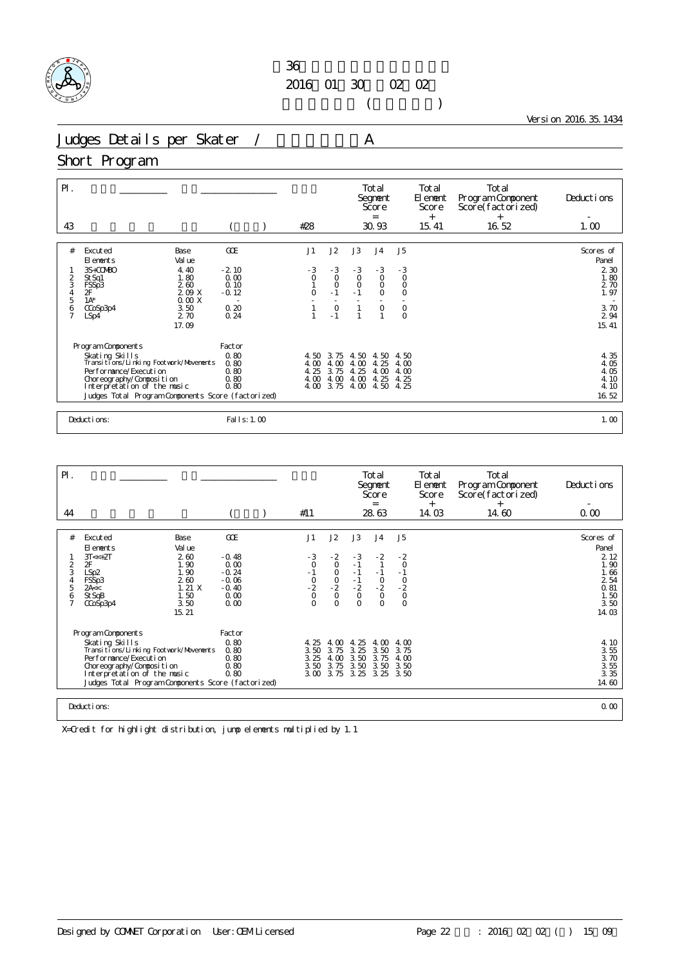

 $($ 

Version 2016.35.1434

Judges Details per Skater / A

### Short Program

| $\mathsf{P}$ .<br>43 |                                                                                                                                                                                                      |                                |                                      | #28                                  |                                      |                                      | Total<br>Segnent<br>Score<br>$=$<br>30.93 |                                       | Total<br>El ement<br>Score<br>$^{+}$<br>15.41 | Total<br>Program Component<br>Score(factorized)<br>$+$<br>16.52 | Deductions<br>1.00                            |
|----------------------|------------------------------------------------------------------------------------------------------------------------------------------------------------------------------------------------------|--------------------------------|--------------------------------------|--------------------------------------|--------------------------------------|--------------------------------------|-------------------------------------------|---------------------------------------|-----------------------------------------------|-----------------------------------------------------------------|-----------------------------------------------|
| #                    | Excuted<br>El ements                                                                                                                                                                                 | Base<br>Val ue                 | GOE                                  | J1                                   | J2                                   | J3                                   | J <sub>4</sub>                            | J <sub>5</sub>                        |                                               |                                                                 | Scores of<br>Panel                            |
| 2<br>3<br>4<br>5     | 3S+COMBO<br>St Sq1<br>FSSp3<br>2F                                                                                                                                                                    | 4.40<br>1.80<br>2.60<br>209 X  | $-2.10$<br>0.00<br>0.10<br>$-0.12$   | $-3$<br>$\circ$<br>$\overline{O}$    | $-3$<br>$\overline{0}$<br>$-1$       | $-3$<br>$\circ$<br>$\circ$<br>$-1$   | $-3$<br>$\circ$<br>$\circ$<br>$\circ$     | $-3$<br>$\circ$<br>$\circ$<br>$\circ$ |                                               |                                                                 | 2 3 0<br>1.80<br>2 70<br>1.97                 |
| $\frac{6}{7}$        | $1A^*$<br>CCoSp3p4<br>LSp4                                                                                                                                                                           | 0.00X<br>3.50<br>2.70<br>17.09 | 0.20<br>0.24                         |                                      | $\circ$<br>$-1$                      |                                      | $\circ$<br>$\overline{1}$                 | $_{\rm 0}^{\rm 0}$                    |                                               |                                                                 | 3.70<br>2 9 4<br>15.41                        |
|                      | Program Components                                                                                                                                                                                   |                                | Factor                               |                                      |                                      |                                      |                                           |                                       |                                               |                                                                 |                                               |
|                      | Skating Skills<br>Transitions/Linking Footwork/Movements<br>Per for mance/Execution<br>Choreography/Composition<br>Interpretation of the music<br>Judges Total Program Components Score (factorized) |                                | 0.80<br>0.80<br>0.80<br>0.80<br>0.80 | 4.50<br>4.00<br>4.25<br>4.00<br>4.00 | 3.75<br>4.00<br>3.75<br>4.00<br>3.75 | 4.50<br>4.00<br>4.25<br>4.00<br>4.00 | 4.50<br>4.25<br>4.00<br>4.25<br>4.50      | 4.50<br>4.00<br>4.00<br>4.25<br>4.25  |                                               |                                                                 | 4.35<br>4.05<br>4.05<br>4.10<br>4.10<br>16.52 |
|                      | Deductions:                                                                                                                                                                                          |                                | Fal I s: 1.00                        |                                      |                                      |                                      |                                           |                                       |                                               |                                                                 | 1.00                                          |

| PI.                 |                                                         |              |                 |               |                     |                      | Total<br>Segnent<br>Score |                     | Total<br>El ement<br>Score | Total<br>Program Component<br>Score(factorized) | Deductions       |
|---------------------|---------------------------------------------------------|--------------|-----------------|---------------|---------------------|----------------------|---------------------------|---------------------|----------------------------|-------------------------------------------------|------------------|
| 44                  |                                                         |              |                 | #11           |                     |                      | $=$<br>28.63              |                     | $^{+}$<br>14.03            | $^{+}$<br>14.60                                 | 0.00             |
|                     |                                                         |              |                 |               |                     |                      |                           |                     |                            |                                                 |                  |
| #                   | Excuted                                                 | Base         | GOE             | J1            | J2                  | J3                   | J <sub>4</sub>            | J <sub>5</sub>      |                            |                                                 | Scores of        |
|                     | El ements                                               | Val ue       |                 |               |                     |                      |                           |                     |                            |                                                 | Panel            |
|                     | $3T < +2T$                                              | 2.60         | $-0.48$         | $\frac{3}{0}$ | $-2$                | $-3$                 | $-2$                      | $-2$                |                            |                                                 | 2 1 2            |
| $\overline{2}$<br>3 | 2F<br>LSp2                                              | 1.90<br>1.90 | 0.00<br>$-0.24$ | $-1$          | $\circ$<br>$\circ$  | $-1$                 | $-1$                      | $\circ$             |                            |                                                 | 1.90<br>1.66     |
| 4                   | FSSp3                                                   | 2.60         | $-0.06$         |               | $\frac{0}{2}$       |                      | $\frac{0}{2}$             |                     |                            |                                                 | 2 54             |
| 5                   | 2A <                                                    | 1.21X        | $-0.40$         | $\frac{0}{2}$ |                     | $-1$<br>$-2$<br>0    |                           |                     |                            |                                                 | 0.81             |
| 6                   | St SqB<br>CCoSp3p4                                      | 1.50<br>3.50 | 0.00<br>0.00    | $\Omega$      | $\circ$<br>$\Omega$ | $\circ$              | $\circ$<br>$\circ$        | $-2$<br>$-2$<br>$0$ |                            |                                                 | 1.50<br>3.50     |
|                     |                                                         | 15.21        |                 |               |                     |                      |                           |                     |                            |                                                 | 14.03            |
|                     |                                                         |              |                 |               |                     |                      |                           |                     |                            |                                                 |                  |
|                     | Program Components                                      |              | Factor          |               |                     |                      |                           |                     |                            |                                                 |                  |
|                     | Skating Skills                                          |              | 0.80            | 4.25          | 4.00                | 25<br>$\overline{4}$ | 4.00                      | 4.00                |                            |                                                 | 4.10             |
|                     | Transi ti ons/Li nki ng Footvork/Movements              |              | 0.80            | 3.50          | 3.75                | 3.25                 | 3.50                      | 3.75                |                            |                                                 | $3.55$<br>$3.70$ |
|                     | Per for mance/Execution                                 |              | 0.80            | 3.25          | 4.00                | 3.50                 | 3.75                      | 4.00                |                            |                                                 |                  |
|                     | Choreography/Composition<br>Interpretation of the music |              | 0.80<br>0.80    | 3.50<br>3.00  | 3.75<br>3.75        | 3.50<br>3.25         | 3.50<br>3.25              | 3.50<br>3.50        |                            |                                                 | 3.55<br>3.35     |
|                     | Judges Total Program Components Score (factorized)      |              |                 |               |                     |                      |                           |                     |                            |                                                 | 14.60            |
|                     |                                                         |              |                 |               |                     |                      |                           |                     |                            |                                                 |                  |
|                     | Deductions:                                             |              |                 |               |                     |                      |                           |                     |                            |                                                 | 0.00             |